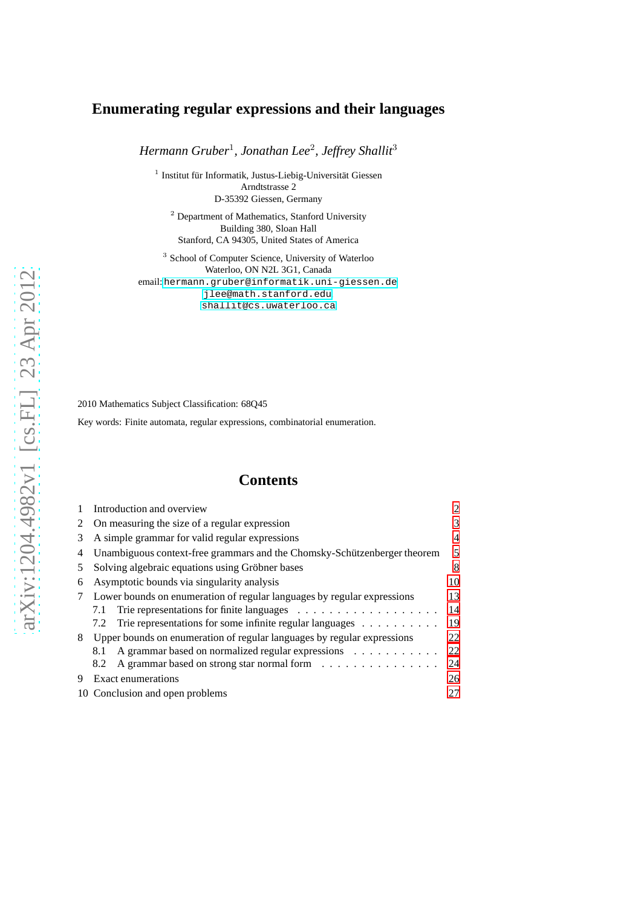# **Enumerating regular expressions and their languages**

*Hermann Gruber*<sup>1</sup> *, Jonathan Lee*<sup>2</sup> *, Jeffrey Shallit*<sup>3</sup>

<sup>1</sup> Institut für Informatik, Justus-Liebig-Universität Giessen Arndtstrasse 2 D-35392 Giessen, Germany

<sup>2</sup> Department of Mathematics, Stanford University Building 380, Sloan Hall Stanford, CA 94305, United States of America

3 School of Computer Science, University of Waterloo Waterloo, ON N2L 3G1, Canada email: <hermann.gruber@informatik.uni-giessen.de>, <jlee@math.stanford.edu>, <shallit@cs.uwaterloo.ca>

2010 Mathematics Subject Classification: 68Q45

Key words: Finite automata, regular expressions, combinatorial enumeration.

# **Contents**

|    | Introduction and overview                                                           |    |  |  |  |  |
|----|-------------------------------------------------------------------------------------|----|--|--|--|--|
|    | On measuring the size of a regular expression                                       |    |  |  |  |  |
| 3  | A simple grammar for valid regular expressions                                      |    |  |  |  |  |
| 4  | Unambiguous context-free grammars and the Chomsky-Schützenberger theorem            | 5  |  |  |  |  |
| 5. | Solving algebraic equations using Gröbner bases                                     | 8  |  |  |  |  |
| 6  | Asymptotic bounds via singularity analysis                                          | 10 |  |  |  |  |
|    | Lower bounds on enumeration of regular languages by regular expressions             | 13 |  |  |  |  |
|    | 7.1                                                                                 | 14 |  |  |  |  |
|    | Trie representations for some infinite regular languages $\dots \dots \dots$<br>7.2 | 19 |  |  |  |  |
| 8  | Upper bounds on enumeration of regular languages by regular expressions             | 22 |  |  |  |  |
|    | A grammar based on normalized regular expressions<br>8.1                            | 22 |  |  |  |  |
|    | A grammar based on strong star normal form<br>8.2                                   | 24 |  |  |  |  |
| 9  | Exact enumerations<br>26                                                            |    |  |  |  |  |
|    | 10 Conclusion and open problems<br>27                                               |    |  |  |  |  |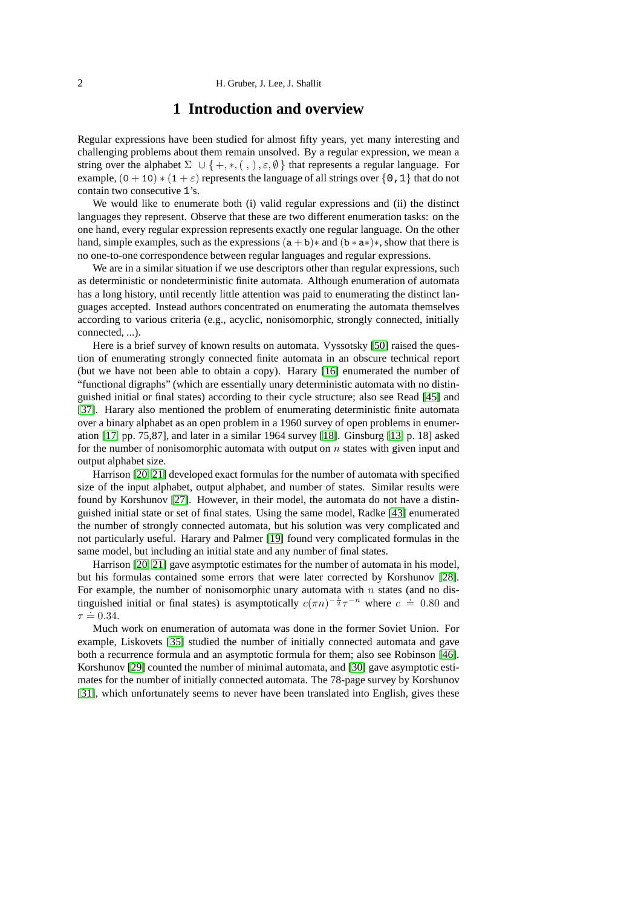## **1 Introduction and overview**

<span id="page-1-0"></span>Regular expressions have been studied for almost fifty years, yet many interesting and challenging problems about them remain unsolved. By a regular expression, we mean a string over the alphabet  $\Sigma \cup \{+, *, (, ), \varepsilon, \emptyset\}$  that represents a regular language. For example,  $(0 + 10) * (1 + \varepsilon)$  represents the language of all strings over {0, 1} that do not contain two consecutive 1's.

We would like to enumerate both (i) valid regular expressions and (ii) the distinct languages they represent. Observe that these are two different enumeration tasks: on the one hand, every regular expression represents exactly one regular language. On the other hand, simple examples, such as the expressions  $(a + b)*$  and  $(b * a*)*.$  show that there is no one-to-one correspondence between regular languages and regular expressions.

We are in a similar situation if we use descriptors other than regular expressions, such as deterministic or nondeterministic finite automata. Although enumeration of automata has a long history, until recently little attention was paid to enumerating the distinct languages accepted. Instead authors concentrated on enumerating the automata themselves according to various criteria (e.g., acyclic, nonisomorphic, strongly connected, initially connected, ...).

Here is a brief survey of known results on automata. Vyssotsky [\[50\]](#page-29-0) raised the question of enumerating strongly connected finite automata in an obscure technical report (but we have not been able to obtain a copy). Harary [\[16\]](#page-28-0) enumerated the number of "functional digraphs" (which are essentially unary deterministic automata with no distinguished initial or final states) according to their cycle structure; also see Read [\[45\]](#page-29-1) and [\[37\]](#page-29-2). Harary also mentioned the problem of enumerating deterministic finite automata over a binary alphabet as an open problem in a 1960 survey of open problems in enumeration [\[17,](#page-28-1) pp. 75,87], and later in a similar 1964 survey [\[18\]](#page-28-2). Ginsburg [\[13,](#page-28-3) p. 18] asked for the number of nonisomorphic automata with output on  $n$  states with given input and output alphabet size.

Harrison [\[20,](#page-28-4) [21\]](#page-28-5) developed exact formulas for the number of automata with specified size of the input alphabet, output alphabet, and number of states. Similar results were found by Korshunov [\[27\]](#page-28-6). However, in their model, the automata do not have a distinguished initial state or set of final states. Using the same model, Radke [\[43\]](#page-29-3) enumerated the number of strongly connected automata, but his solution was very complicated and not particularly useful. Harary and Palmer [\[19\]](#page-28-7) found very complicated formulas in the same model, but including an initial state and any number of final states.

Harrison [\[20,](#page-28-4) [21\]](#page-28-5) gave asymptotic estimates for the number of automata in his model, but his formulas contained some errors that were later corrected by Korshunov [\[28\]](#page-28-8). For example, the number of nonisomorphic unary automata with  $n$  states (and no distinguished initial or final states) is asymptotically  $c(\pi n)^{-\frac{1}{2}}\tau^{-n}$  where  $c \doteq 0.80$  and  $\tau \doteq 0.34.$ 

Much work on enumeration of automata was done in the former Soviet Union. For example, Liskovets [\[35\]](#page-29-4) studied the number of initially connected automata and gave both a recurrence formula and an asymptotic formula for them; also see Robinson [\[46\]](#page-29-5). Korshunov [\[29\]](#page-28-9) counted the number of minimal automata, and [\[30\]](#page-28-10) gave asymptotic estimates for the number of initially connected automata. The 78-page survey by Korshunov [\[31\]](#page-28-11), which unfortunately seems to never have been translated into English, gives these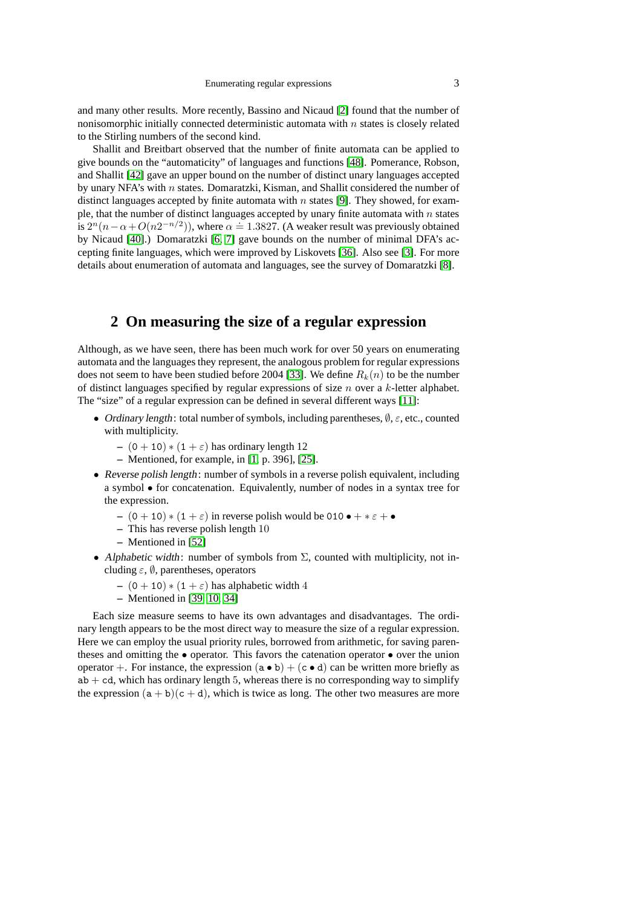and many other results. More recently, Bassino and Nicaud [\[2\]](#page-27-0) found that the number of nonisomorphic initially connected deterministic automata with  $n$  states is closely related to the Stirling numbers of the second kind.

Shallit and Breitbart observed that the number of finite automata can be applied to give bounds on the "automaticity" of languages and functions [\[48\]](#page-29-6). Pomerance, Robson, and Shallit [\[42\]](#page-29-7) gave an upper bound on the number of distinct unary languages accepted by unary NFA's with  $n$  states. Domaratzki, Kisman, and Shallit considered the number of distinct languages accepted by finite automata with  $n$  states [\[9\]](#page-27-1). They showed, for example, that the number of distinct languages accepted by unary finite automata with  $n$  states is  $2^{n}(n - \alpha + O(n2^{-n/2}))$ , where  $\alpha \doteq 1.3827$ . (A weaker result was previously obtained by Nicaud [\[40\]](#page-29-8).) Domaratzki [\[6,](#page-27-2) [7\]](#page-27-3) gave bounds on the number of minimal DFA's accepting finite languages, which were improved by Liskovets [\[36\]](#page-29-9). Also see [\[3\]](#page-27-4). For more details about enumeration of automata and languages, see the survey of Domaratzki [\[8\]](#page-27-5).

## <span id="page-2-0"></span>**2 On measuring the size of a regular expression**

Although, as we have seen, there has been much work for over 50 years on enumerating automata and the languages they represent, the analogous problem for regular expressions does not seem to have been studied before 2004 [\[33\]](#page-28-12). We define  $R_k(n)$  to be the number of distinct languages specified by regular expressions of size  $n$  over a  $k$ -letter alphabet. The "size" of a regular expression can be defined in several different ways [\[11\]](#page-27-6):

- Ordinary length: total number of symbols, including parentheses,  $\emptyset$ ,  $\varepsilon$ , etc., counted with multiplicity.
	- $-$  (0 + 10)  $*(1 + \varepsilon)$  has ordinary length 12
	- **–** Mentioned, for example, in [\[1,](#page-27-7) p. 396], [\[25\]](#page-28-13).
- Reverse polish length: number of symbols in a reverse polish equivalent, including a symbol • for concatenation. Equivalently, number of nodes in a syntax tree for the expression.
	- $(0 + 10) * (1 + \varepsilon)$  in reverse polish would be 010 +  $*\varepsilon$  + •
	- **–** This has reverse polish length 10
	- **–** Mentioned in [\[52\]](#page-29-10)
- Alphabetic width: number of symbols from  $\Sigma$ , counted with multiplicity, not including  $\varepsilon$ ,  $\emptyset$ , parentheses, operators
	- $-$  (0 + 10)  $*(1 + \varepsilon)$  has alphabetic width 4
	- **–** Mentioned in [\[39,](#page-29-11) [10,](#page-27-8) [34\]](#page-29-12)

Each size measure seems to have its own advantages and disadvantages. The ordinary length appears to be the most direct way to measure the size of a regular expression. Here we can employ the usual priority rules, borrowed from arithmetic, for saving parentheses and omitting the • operator. This favors the catenation operator • over the union operator +. For instance, the expression  $(a \bullet b) + (c \bullet d)$  can be written more briefly as  $ab + cd$ , which has ordinary length 5, whereas there is no corresponding way to simplify the expression  $(a + b)(c + d)$ , which is twice as long. The other two measures are more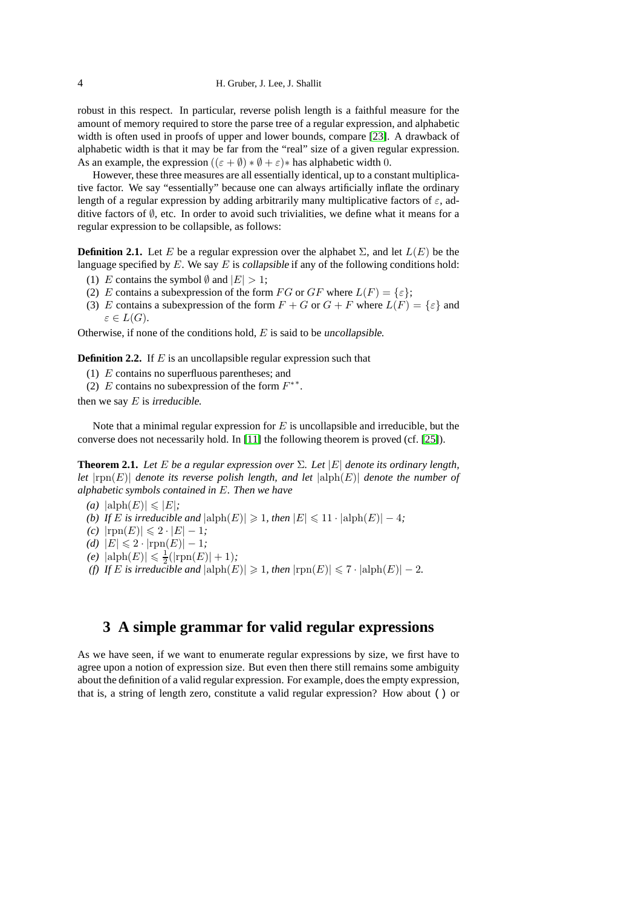#### 4 H. Gruber, J. Lee, J. Shallit

robust in this respect. In particular, reverse polish length is a faithful measure for the amount of memory required to store the parse tree of a regular expression, and alphabetic width is often used in proofs of upper and lower bounds, compare [\[23\]](#page-28-14). A drawback of alphabetic width is that it may be far from the "real" size of a given regular expression. As an example, the expression  $((\varepsilon + \emptyset) * \emptyset + \varepsilon) *$  has alphabetic width 0.

However, these three measures are all essentially identical, up to a constant multiplicative factor. We say "essentially" because one can always artificially inflate the ordinary length of a regular expression by adding arbitrarily many multiplicative factors of  $\varepsilon$ , additive factors of  $\emptyset$ , etc. In order to avoid such trivialities, we define what it means for a regular expression to be collapsible, as follows:

**Definition 2.1.** Let E be a regular expression over the alphabet  $\Sigma$ , and let  $L(E)$  be the language specified by  $E$ . We say  $E$  is collapsible if any of the following conditions hold:

- (1) E contains the symbol  $\emptyset$  and  $|E| > 1$ ;
- (2) E contains a subexpression of the form FG or GF where  $L(F) = \{ \varepsilon \}$ ;
- (3) E contains a subexpression of the form  $F + G$  or  $G + F$  where  $L(F) = \{\varepsilon\}$  and  $\varepsilon \in L(G).$

Otherwise, if none of the conditions hold,  $E$  is said to be uncollapsible.

**Definition 2.2.** If E is an uncollapsible regular expression such that

- (1) E contains no superfluous parentheses; and
- (2) E contains no subexpression of the form  $F^{**}$ .

then we say  $E$  is irreducible.

Note that a minimal regular expression for  $E$  is uncollapsible and irreducible, but the converse does not necessarily hold. In [\[11\]](#page-27-6) the following theorem is proved (cf. [\[25\]](#page-28-13)).

**Theorem 2.1.** Let E be a regular expression over  $\Sigma$ . Let  $|E|$  denote its ordinary length, *let*  $|rpn(E)|$  *denote its reverse polish length, and let*  $|alph(E)|$  *denote the number of alphabetic symbols contained in* E*. Then we have*

- *(a)*  $|\text{alph}(E)| \leq |E|$ *;*
- *(b) If E is irreducible and*  $|\text{alph}(E)| \geq 1$ *, then*  $|E| \leq 11 \cdot |\text{alph}(E)| 4$ *;*
- $(c)$  |rpn $(E)$ | ≤ 2 · |*E*| − 1*;*
- *(d)*  $|E|$  ≤ 2 ·  $|$ rpn $(E)$ | − 1*;*
- $(e)$   $|\text{alph}(E)| \leq \frac{1}{2}(|\text{rpn}(E)| + 1);$
- *(f) If E is irreducible and*  $|\text{alph}(E)| \geq 1$ *, then*  $|\text{rpn}(E)| \leq 7 \cdot |\text{alph}(E)| 2$ *.*

### <span id="page-3-0"></span>**3 A simple grammar for valid regular expressions**

As we have seen, if we want to enumerate regular expressions by size, we first have to agree upon a notion of expression size. But even then there still remains some ambiguity about the definition of a valid regular expression. For example, does the empty expression, that is, a string of length zero, constitute a valid regular expression? How about () or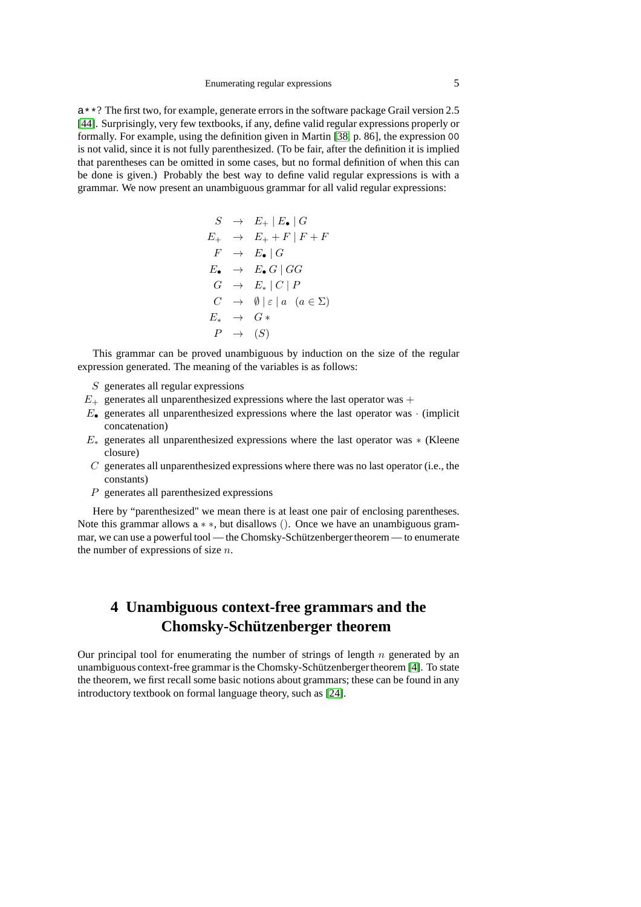a\*\*? The first two, for example, generate errors in the software package Grail version 2.5 [\[44\]](#page-29-13). Surprisingly, very few textbooks, if any, define valid regular expressions properly or formally. For example, using the definition given in Martin [\[38,](#page-29-14) p. 86], the expression 00 is not valid, since it is not fully parenthesized. (To be fair, after the definition it is implied that parentheses can be omitted in some cases, but no formal definition of when this can be done is given.) Probably the best way to define valid regular expressions is with a grammar. We now present an unambiguous grammar for all valid regular expressions:

$$
S \rightarrow E_{+} | E_{\bullet} | G
$$
  
\n
$$
E_{+} \rightarrow E_{+} + F | F + F
$$
  
\n
$$
F \rightarrow E_{\bullet} | G
$$
  
\n
$$
E_{\bullet} \rightarrow E_{\bullet} G | G G
$$
  
\n
$$
G \rightarrow E_{*} | C | P
$$
  
\n
$$
C \rightarrow \emptyset | \varepsilon | a \ (a \in \Sigma)
$$
  
\n
$$
E_{*} \rightarrow G_{*}
$$
  
\n
$$
P \rightarrow (S)
$$

This grammar can be proved unambiguous by induction on the size of the regular expression generated. The meaning of the variables is as follows:

- $S$  generates all regular expressions
- $E_{+}$  generates all unparenthesized expressions where the last operator was  $+$
- $E_{\bullet}$  generates all unparenthesized expressions where the last operator was  $\cdot$  (implicit concatenation)
- $E_*$  generates all unparenthesized expressions where the last operator was  $*$  (Kleene closure)
- $C$  generates all unparenthesized expressions where there was no last operator (i.e., the constants)
- P generates all parenthesized expressions

Here by "parenthesized" we mean there is at least one pair of enclosing parentheses. Note this grammar allows <sup>a</sup> ∗ ∗, but disallows (). Once we have an unambiguous grammar, we can use a powerful tool — the Chomsky-Schützenbergertheorem — to enumerate the number of expressions of size  $n$ .

# <span id="page-4-0"></span>**4 Unambiguous context-free grammars and the Chomsky-Schützenberger theorem**

Our principal tool for enumerating the number of strings of length  $n$  generated by an unambiguous context-free grammar is the Chomsky-Schützenbergertheorem [\[4\]](#page-27-9). To state the theorem, we first recall some basic notions about grammars; these can be found in any introductory textbook on formal language theory, such as [\[24\]](#page-28-15).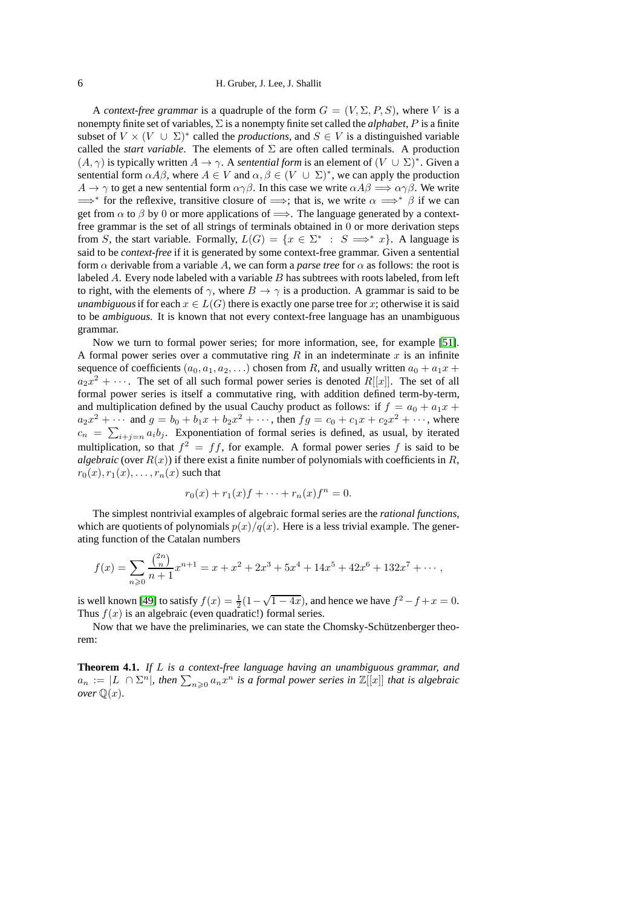A *context-free grammar* is a quadruple of the form  $G = (V, \Sigma, P, S)$ , where V is a nonempty finite set of variables, Σ is a nonempty finite set called the *alphabet*, P is a finite subset of  $V \times (V \cup \Sigma)^*$  called the *productions*, and  $S \in V$  is a distinguished variable called the *start variable*. The elements of  $\Sigma$  are often called terminals. A production  $(A, \gamma)$  is typically written  $A \to \gamma$ . A *sentential form* is an element of  $(V \cup \Sigma)^*$ . Given a sentential form  $\alpha A\beta$ , where  $A \in V$  and  $\alpha, \beta \in (V \cup \Sigma)^*$ , we can apply the production  $A \to \gamma$  to get a new sentential form  $\alpha \gamma \beta$ . In this case we write  $\alpha A \beta \Longrightarrow \alpha \gamma \beta$ . We write  $\Rightarrow^*$  for the reflexive, transitive closure of  $\Rightarrow$ ; that is, we write  $\alpha \Rightarrow^* \beta$  if we can get from  $\alpha$  to  $\beta$  by 0 or more applications of  $\implies$ . The language generated by a contextfree grammar is the set of all strings of terminals obtained in 0 or more derivation steps from S, the start variable. Formally,  $L(G) = \{x \in \Sigma^* : S \implies x\}$ . A language is said to be *context-free* if it is generated by some context-free grammar. Given a sentential form  $\alpha$  derivable from a variable A, we can form a *parse tree* for  $\alpha$  as follows: the root is labeled A. Every node labeled with a variable B has subtrees with roots labeled, from left to right, with the elements of  $\gamma$ , where  $B \to \gamma$  is a production. A grammar is said to be *unambiguous* if for each  $x \in L(G)$  there is exactly one parse tree for x; otherwise it is said to be *ambiguous*. It is known that not every context-free language has an unambiguous grammar.

Now we turn to formal power series; for more information, see, for example [\[51\]](#page-29-15). A formal power series over a commutative ring  $R$  in an indeterminate  $x$  is an infinite sequence of coefficients  $(a_0, a_1, a_2, \ldots)$  chosen from R, and usually written  $a_0 + a_1x +$  $a_2x^2 + \cdots$ . The set of all such formal power series is denoted  $R[[x]]$ . The set of all formal power series is itself a commutative ring, with addition defined term-by-term, and multiplication defined by the usual Cauchy product as follows: if  $f = a_0 + a_1x +$  $a_2x^2 + \cdots$  and  $g = b_0 + b_1x + b_2x^2 + \cdots$ , then  $fg = c_0 + c_1x + c_2x^2 + \cdots$ , where  $c_n = \sum_{i+j=n} a_i b_j$ . Exponentiation of formal series is defined, as usual, by iterated multiplication, so that  $f^2 = ff$ , for example. A formal power series f is said to be *algebraic* (over  $R(x)$ ) if there exist a finite number of polynomials with coefficients in R,  $r_0(x), r_1(x), \ldots, r_n(x)$  such that

$$
r_0(x) + r_1(x)f + \dots + r_n(x)f^n = 0.
$$

The simplest nontrivial examples of algebraic formal series are the *rational functions*, which are quotients of polynomials  $p(x)/q(x)$ . Here is a less trivial example. The generating function of the Catalan numbers

$$
f(x) = \sum_{n\geqslant 0} \frac{\binom{2n}{n}}{n+1} x^{n+1} = x + x^2 + 2x^3 + 5x^4 + 14x^5 + 42x^6 + 132x^7 + \cdots,
$$

is well known [\[49\]](#page-29-16) to satisfy  $f(x) = \frac{1}{2}(1 - \sqrt{1 - 4x})$ , and hence we have  $f^2 - f + x = 0$ . Thus  $f(x)$  is an algebraic (even quadratic!) formal series.

<span id="page-5-0"></span>Now that we have the preliminaries, we can state the Chomsky-Schützenberger theorem:

**Theorem 4.1.** *If* L *is a context-free language having an unambiguous grammar, and*  $a_n := |L| \cap \Sigma^n$ , then  $\sum_{n\geqslant 0} a_n x^n$  is a formal power series in  $\mathbb{Z}[[x]]$  that is algebraic *over*  $\mathbb{Q}(x)$ *.*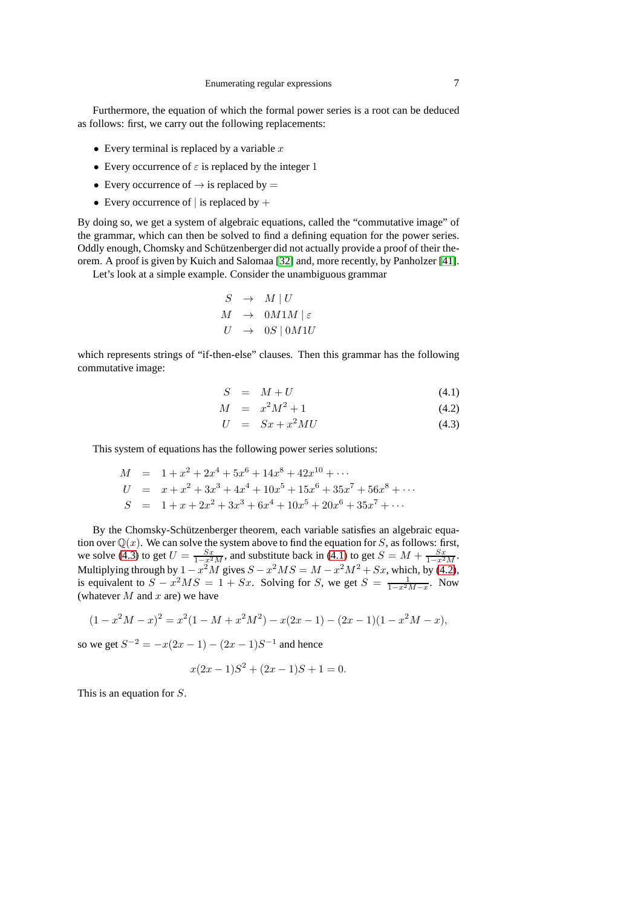Furthermore, the equation of which the formal power series is a root can be deduced as follows: first, we carry out the following replacements:

- Every terminal is replaced by a variable  $x$
- Every occurrence of  $\varepsilon$  is replaced by the integer 1
- Every occurrence of  $\rightarrow$  is replaced by  $=$
- Every occurrence of  $\vert$  is replaced by  $+$

By doing so, we get a system of algebraic equations, called the "commutative image" of the grammar, which can then be solved to find a defining equation for the power series. Oddly enough, Chomsky and Schützenberger did not actually provide a proof of their theorem. A proof is given by Kuich and Salomaa [\[32\]](#page-28-16) and, more recently, by Panholzer [\[41\]](#page-29-17).

Let's look at a simple example. Consider the unambiguous grammar

$$
S \rightarrow M | U
$$
  

$$
M \rightarrow 0M1M | \varepsilon
$$
  

$$
U \rightarrow 0S | 0M1U
$$

which represents strings of "if-then-else" clauses. Then this grammar has the following commutative image:

<span id="page-6-0"></span>
$$
S = M + U \tag{4.1}
$$

$$
M = x^2 M^2 + 1 \tag{4.2}
$$

$$
U = Sx + x^2MU \tag{4.3}
$$

This system of equations has the following power series solutions:

$$
M = 1 + x2 + 2x4 + 5x6 + 14x8 + 42x10 + ...
$$
  
\n
$$
U = x + x2 + 3x3 + 4x4 + 10x5 + 15x6 + 35x7 + 56x8 + ...
$$
  
\n
$$
S = 1 + x + 2x2 + 3x3 + 6x4 + 10x5 + 20x6 + 35x7 + ...
$$

By the Chomsky-Schützenberger theorem, each variable satisfies an algebraic equation over  $\mathbb{Q}(x)$ . We can solve the system above to find the equation for S, as follows: first, we solve [\(4.3\)](#page-6-0) to get  $U = \frac{Sx}{1-x^2M}$ , and substitute back in [\(4.1\)](#page-6-0) to get  $S = M + \frac{Sx}{1-x^2M}$ . Multiplying through by  $1 - x^2M$  gives  $S - x^2MS = M - x^2M^2 + Sx$ , which, by [\(4.2\)](#page-6-0), is equivalent to  $S - x^2 MS = 1 + Sx$ . Solving for S, we get  $S = \frac{1}{1 - x^2 M - x}$ . Now (whatever  $M$  and  $x$  are) we have

$$
(1 - x2M - x)2 = x2(1 - M + x2M2) - x(2x - 1) - (2x - 1)(1 - x2M - x),
$$

so we get  $S^{-2} = -x(2x - 1) - (2x - 1)S^{-1}$  and hence

$$
x(2x - 1)S2 + (2x - 1)S + 1 = 0.
$$

This is an equation for S.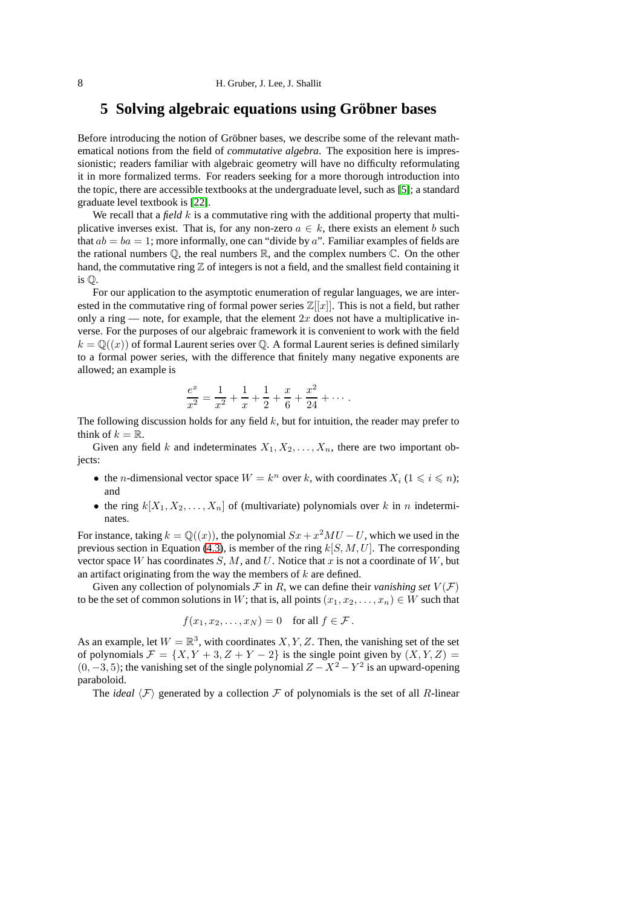## <span id="page-7-0"></span>**5 Solving algebraic equations using Gröbner bases**

Before introducing the notion of Gröbner bases, we describe some of the relevant mathematical notions from the field of *commutative algebra*. The exposition here is impressionistic; readers familiar with algebraic geometry will have no difficulty reformulating it in more formalized terms. For readers seeking for a more thorough introduction into the topic, there are accessible textbooks at the undergraduate level, such as [\[5\]](#page-27-10); a standard graduate level textbook is [\[22\]](#page-28-17).

We recall that a *field* k is a commutative ring with the additional property that multiplicative inverses exist. That is, for any non-zero  $a \in k$ , there exists an element b such that  $ab = ba = 1$ ; more informally, one can "divide by a". Familiar examples of fields are the rational numbers  $\mathbb{O}$ , the real numbers  $\mathbb{R}$ , and the complex numbers  $\mathbb{C}$ . On the other hand, the commutative ring  $\mathbb Z$  of integers is not a field, and the smallest field containing it is Q.

For our application to the asymptotic enumeration of regular languages, we are interested in the commutative ring of formal power series  $\mathbb{Z}[[x]]$ . This is not a field, but rather only a ring — note, for example, that the element  $2x$  does not have a multiplicative inverse. For the purposes of our algebraic framework it is convenient to work with the field  $k = \mathbb{Q}((x))$  of formal Laurent series over  $\mathbb{Q}$ . A formal Laurent series is defined similarly to a formal power series, with the difference that finitely many negative exponents are allowed; an example is

$$
\frac{e^x}{x^2} = \frac{1}{x^2} + \frac{1}{x} + \frac{1}{2} + \frac{x}{6} + \frac{x^2}{24} + \cdots
$$

The following discussion holds for any field  $k$ , but for intuition, the reader may prefer to think of  $k = \mathbb{R}$ .

Given any field k and indeterminates  $X_1, X_2, \ldots, X_n$ , there are two important objects:

- the *n*-dimensional vector space  $W = k^n$  over k, with coordinates  $X_i$  ( $1 \leq i \leq n$ ); and
- the ring  $k[X_1, X_2, \ldots, X_n]$  of (multivariate) polynomials over k in n indeterminates

For instance, taking  $k = \mathbb{Q}((x))$ , the polynomial  $Sx + x^2MU - U$ , which we used in the previous section in Equation [\(4.3\)](#page-6-0), is member of the ring  $k[S, M, U]$ . The corresponding vector space W has coordinates  $S, M$ , and U. Notice that x is not a coordinate of W, but an artifact originating from the way the members of  $k$  are defined.

Given any collection of polynomials  $\mathcal F$  in R, we can define their *vanishing set*  $V(\mathcal F)$ to be the set of common solutions in W; that is, all points  $(x_1, x_2, \ldots, x_n) \in W$  such that

$$
f(x_1, x_2, \dots, x_N) = 0 \quad \text{for all } f \in \mathcal{F}.
$$

As an example, let  $W = \mathbb{R}^3$ , with coordinates  $X, Y, Z$ . Then, the vanishing set of the set of polynomials  $\mathcal{F} = \{X, Y + 3, Z + Y - 2\}$  is the single point given by  $(X, Y, Z) =$  $(0, -3, 5)$ ; the vanishing set of the single polynomial  $Z - X^2 - Y^2$  is an upward-opening paraboloid.

The *ideal*  $\langle F \rangle$  generated by a collection F of polynomials is the set of all R-linear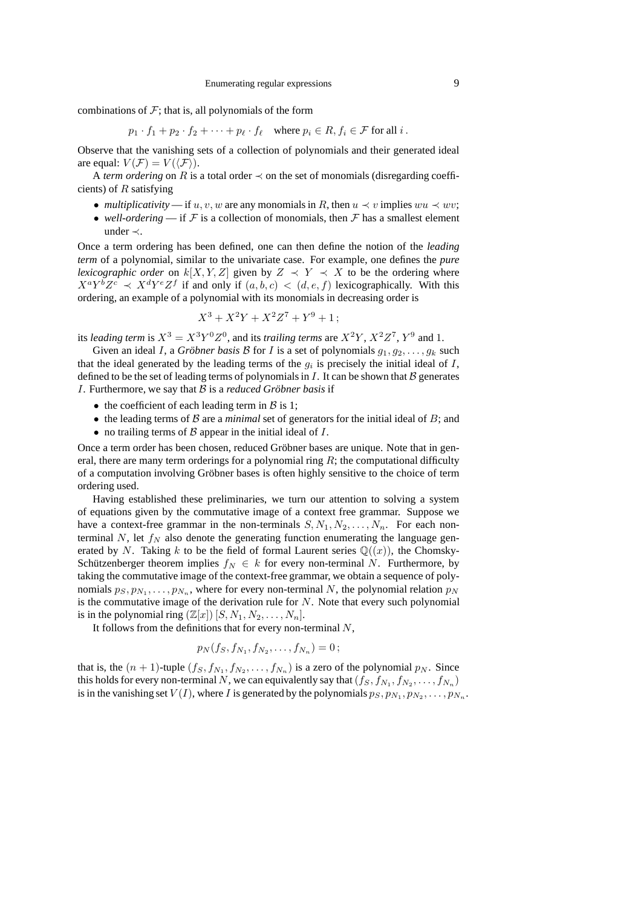combinations of  $F$ ; that is, all polynomials of the form

 $p_1 \cdot f_1 + p_2 \cdot f_2 + \cdots + p_\ell \cdot f_\ell$  where  $p_i \in R, f_i \in \mathcal{F}$  for all i.

Observe that the vanishing sets of a collection of polynomials and their generated ideal are equal:  $V(\mathcal{F}) = V(\langle \mathcal{F} \rangle)$ .

A *term ordering* on R is a total order  $\prec$  on the set of monomials (disregarding coefficients) of  $R$  satisfying

- *multiplicativity* if u, v, w are any monomials in R, then  $u \prec v$  implies  $wu \prec wv$ ;
- *well-ordering* if  $F$  is a collection of monomials, then  $F$  has a smallest element under ≺.

Once a term ordering has been defined, one can then define the notion of the *leading term* of a polynomial, similar to the univariate case. For example, one defines the *pure lexicographic order* on  $k[X, Y, Z]$  given by  $Z \prec Y \prec X$  to be the ordering where  $X^a Y^b Z^c \prec X^d Y^e Z^f$  if and only if  $(a, b, c) < (d, e, f)$  lexicographically. With this ordering, an example of a polynomial with its monomials in decreasing order is

$$
X^3 + X^2Y + X^2Z^7 + Y^9 + 1
$$
;

its *leading term* is  $X^3 = X^3 Y^0 Z^0$ , and its *trailing terms* are  $X^2 Y$ ,  $X^2 Z^7$ ,  $Y^9$  and 1.

Given an ideal *I*, a *Gröbner basis B* for *I* is a set of polynomials  $q_1, q_2, \ldots, q_k$  such that the ideal generated by the leading terms of the  $g_i$  is precisely the initial ideal of  $I$ , defined to be the set of leading terms of polynomials in  $I$ . It can be shown that  $B$  generates I. Furthermore, we say that B is a *reduced Gröbner basis* if

- the coefficient of each leading term in  $\beta$  is 1;
- $\bullet$  the leading terms of  $\beta$  are a *minimal* set of generators for the initial ideal of  $B$ ; and
- no trailing terms of  $\beta$  appear in the initial ideal of  $I$ .

Once a term order has been chosen, reduced Gröbner bases are unique. Note that in general, there are many term orderings for a polynomial ring  $R$ ; the computational difficulty of a computation involving Gröbner bases is often highly sensitive to the choice of term ordering used.

Having established these preliminaries, we turn our attention to solving a system of equations given by the commutative image of a context free grammar. Suppose we have a context-free grammar in the non-terminals  $S, N_1, N_2, \ldots, N_n$ . For each nonterminal N, let  $f_N$  also denote the generating function enumerating the language generated by N. Taking k to be the field of formal Laurent series  $\mathbb{Q}((x))$ , the Chomsky-Schützenberger theorem implies  $f_N \in k$  for every non-terminal N. Furthermore, by taking the commutative image of the context-free grammar, we obtain a sequence of polynomials  $p_S, p_{N_1}, \ldots, p_{N_n}$ , where for every non-terminal N, the polynomial relation  $p_N$ is the commutative image of the derivation rule for  $N$ . Note that every such polynomial is in the polynomial ring  $(\mathbb{Z}[x])$   $[S, N_1, N_2, \ldots, N_n]$ .

It follows from the definitions that for every non-terminal  $N$ ,

$$
p_N(f_S, f_{N_1}, f_{N_2}, \ldots, f_{N_n}) = 0\,;
$$

that is, the  $(n + 1)$ -tuple  $(f_S, f_{N_1}, f_{N_2}, \ldots, f_{N_n})$  is a zero of the polynomial  $p_N$ . Since this holds for every non-terminal  $N,$  we can equivalently say that  $(f_S, f_{N_1}, f_{N_2}, \ldots, f_{N_n})$ is in the vanishing set  $V(I)$ , where I is generated by the polynomials  $p_S, p_{N_1}, p_{N_2}, \ldots, p_{N_n}$ .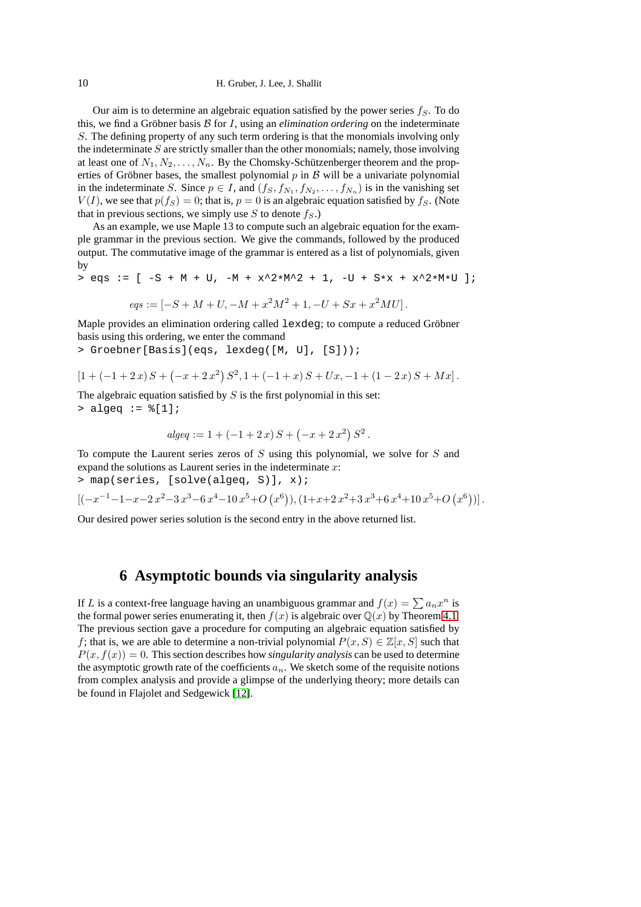#### 10 H. Gruber, J. Lee, J. Shallit

Our aim is to determine an algebraic equation satisfied by the power series  $f_s$ . To do this, we find a Gröbner basis B for I, using an *elimination ordering* on the indeterminate S. The defining property of any such term ordering is that the monomials involving only the indeterminate  $S$  are strictly smaller than the other monomials; namely, those involving at least one of  $N_1, N_2, \ldots, N_n$ . By the Chomsky-Schützenberger theorem and the properties of Gröbner bases, the smallest polynomial  $p$  in  $B$  will be a univariate polynomial in the indeterminate S. Since  $p \in I$ , and  $(f_S, f_{N_1}, f_{N_2}, \ldots, f_{N_n})$  is in the vanishing set  $V(I)$ , we see that  $p(f_S) = 0$ ; that is,  $p = 0$  is an algebraic equation satisfied by  $f_S$ . (Note that in previous sections, we simply use S to denote  $f<sub>S</sub>$ .)

As an example, we use Maple 13 to compute such an algebraic equation for the example grammar in the previous section. We give the commands, followed by the produced output. The commutative image of the grammar is entered as a list of polynomials, given by

> eqs :=  $[-S + M + U, -M + x^2 * M^2 + 1, -U + S *x + x^2 * M *U]$ ;

$$
eqs := [-S + M + U, -M + x^2M^2 + 1, -U + Sx + x^2MU].
$$

Maple provides an elimination ordering called lexdeg; to compute a reduced Gröbner basis using this ordering, we enter the command

> Groebner[Basis](eqs, lexdeg([M, U], [S]));

$$
[1 + (-1 + 2x)S + (-x + 2x^{2})S^{2}, 1 + (-1 + x)S + Ux, -1 + (1 - 2x)S + Mx].
$$

The algebraic equation satisfied by  $S$  is the first polynomial in this set:  $>$  algeq :=  $([1];$ 

$$
algeq := 1 + (-1 + 2x) S + (-x + 2x2) S2.
$$

To compute the Laurent series zeros of  $S$  using this polynomial, we solve for  $S$  and expand the solutions as Laurent series in the indeterminate  $x$ : > map(series, [solve(algeq, S)], x);

 $[(-x^{-1}-1-x-2x^2-3x^3-6x^4-10x^5+O(x^6)),(1+x+2x^2+3x^3+6x^4+10x^5+O(x^6))].$ 

<span id="page-9-0"></span>Our desired power series solution is the second entry in the above returned list.

## **6 Asymptotic bounds via singularity analysis**

If L is a context-free language having an unambiguous grammar and  $f(x) = \sum a_n x^n$  is the formal power series enumerating it, then  $f(x)$  is algebraic over  $\mathbb{Q}(x)$  by Theorem [4.1.](#page-5-0) The previous section gave a procedure for computing an algebraic equation satisfied by f; that is, we are able to determine a non-trivial polynomial  $P(x, S) \in \mathbb{Z}[x, S]$  such that  $P(x, f(x)) = 0$ . This section describes how *singularity analysis* can be used to determine the asymptotic growth rate of the coefficients  $a_n$ . We sketch some of the requisite notions from complex analysis and provide a glimpse of the underlying theory; more details can be found in Flajolet and Sedgewick [\[12\]](#page-28-18).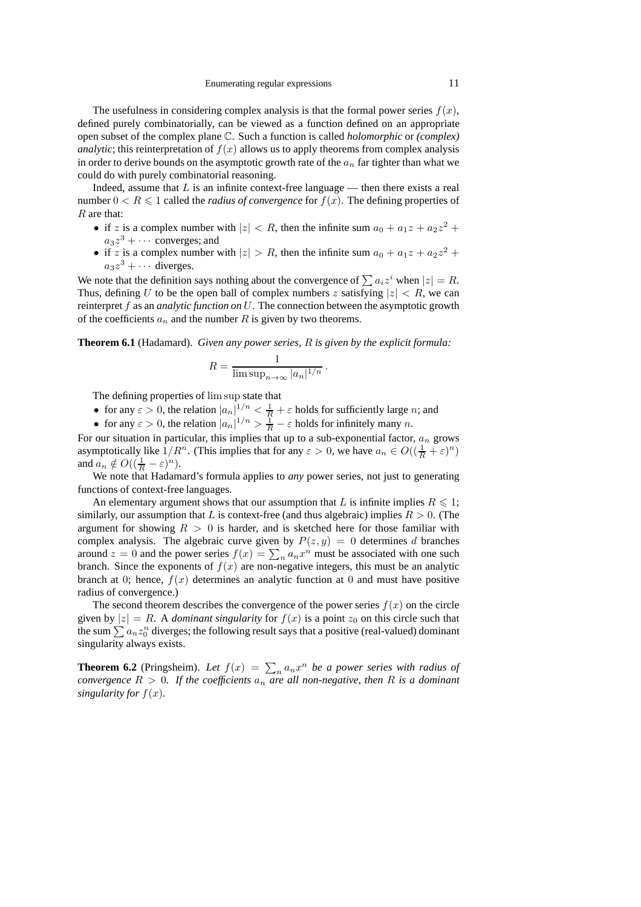The usefulness in considering complex analysis is that the formal power series  $f(x)$ , defined purely combinatorially, can be viewed as a function defined on an appropriate open subset of the complex plane C. Such a function is called *holomorphic* or *(complex) analytic*; this reinterpretation of  $f(x)$  allows us to apply theorems from complex analysis in order to derive bounds on the asymptotic growth rate of the  $a_n$  far tighter than what we could do with purely combinatorial reasoning.

Indeed, assume that  $L$  is an infinite context-free language — then there exists a real number  $0 < R \le 1$  called the *radius of convergence* for  $f(x)$ . The defining properties of R are that:

- if z is a complex number with  $|z| < R$ , then the infinite sum  $a_0 + a_1 z + a_2 z^2 +$  $a_3z^3 + \cdots$  converges; and
- if z is a complex number with  $|z| > R$ , then the infinite sum  $a_0 + a_1 z + a_2 z^2 +$  $a_3 z^3 + \cdots$  diverges.

We note that the definition says nothing about the convergence of  $\sum a_i z^i$  when  $|z| = R$ . Thus, defining U to be the open ball of complex numbers z satisfying  $|z| < R$ , we can reinterpret f as an *analytic function on* U. The connection between the asymptotic growth of the coefficients  $a_n$  and the number R is given by two theorems.

**Theorem 6.1** (Hadamard). *Given any power series,* R *is given by the explicit formula:*

$$
R = \frac{1}{\limsup_{n \to \infty} |a_n|^{1/n}}.
$$

The defining properties of lim sup state that

- for any  $\varepsilon > 0$ , the relation  $|a_n|^{\frac{1}{n}} < \frac{1}{R} + \varepsilon$  holds for sufficiently large *n*; and
- for any  $\varepsilon > 0$ , the relation  $|a_n|^{1/n} > \frac{1}{R} \varepsilon$  holds for infinitely many n.

For our situation in particular, this implies that up to a sub-exponential factor,  $a_n$  grows asymptotically like  $1/R^n$ . (This implies that for any  $\varepsilon > 0$ , we have  $a_n \in O((\frac{1}{R} + \varepsilon)^n)$ and  $a_n \notin O((\frac{1}{R} - \varepsilon)^n)$ .

We note that Hadamard's formula applies to *any* power series, not just to generating functions of context-free languages.

An elementary argument shows that our assumption that L is infinite implies  $R \leq 1$ ; similarly, our assumption that L is context-free (and thus algebraic) implies  $R > 0$ . (The argument for showing  $R > 0$  is harder, and is sketched here for those familiar with complex analysis. The algebraic curve given by  $P(z, y) = 0$  determines d branches around  $z = 0$  and the power series  $f(x) = \sum_{n} a_n x^n$  must be associated with one such branch. Since the exponents of  $f(x)$  are non-negative integers, this must be an analytic branch at 0; hence,  $f(x)$  determines an analytic function at 0 and must have positive radius of convergence.)

The second theorem describes the convergence of the power series  $f(x)$  on the circle given by  $|z| = R$ . A *dominant singularity* for  $f(x)$  is a point  $z_0$  on this circle such that the sum  $\sum a_n z_0^n$  diverges; the following result says that a positive (real-valued) dominant singularity always exists.

**Theorem 6.2** (Pringsheim). Let  $f(x) = \sum_{n} a_n x^n$  be a power series with radius of *convergence*  $R > 0$ *. If the coefficients*  $a_n$  *are all non-negative, then*  $R$  *is a dominant singularity for*  $f(x)$ *.*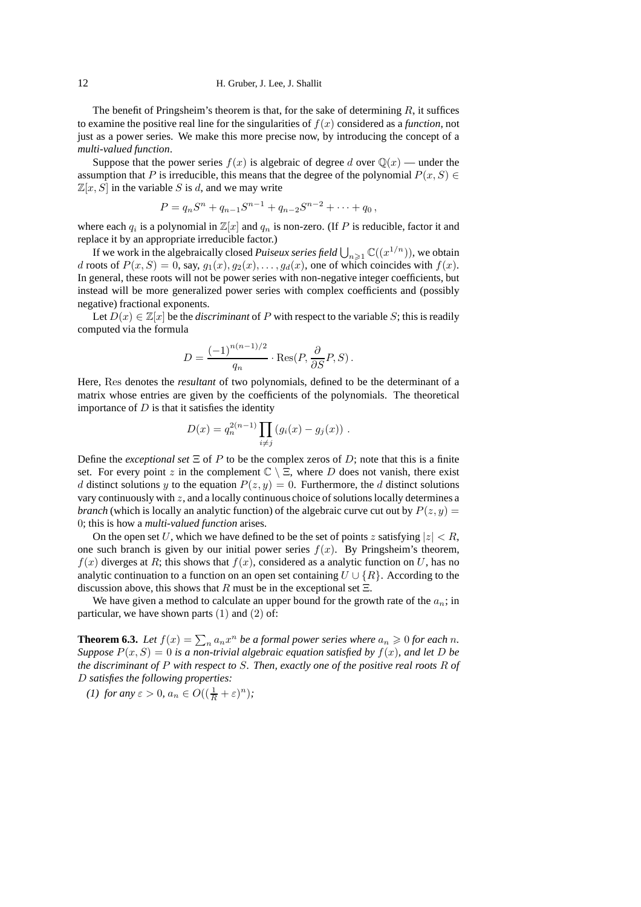#### 12 H. Gruber, J. Lee, J. Shallit

The benefit of Pringsheim's theorem is that, for the sake of determining  $R$ , it suffices to examine the positive real line for the singularities of  $f(x)$  considered as a *function*, not just as a power series. We make this more precise now, by introducing the concept of a *multi-valued function*.

Suppose that the power series  $f(x)$  is algebraic of degree d over  $\mathbb{Q}(x)$  — under the assumption that P is irreducible, this means that the degree of the polynomial  $P(x, S) \in$  $\mathbb{Z}[x, S]$  in the variable S is d, and we may write

$$
P = qn Sn + qn-1 Sn-1 + qn-2 Sn-2 + \dots + q0,
$$

where each  $q_i$  is a polynomial in  $\mathbb{Z}[x]$  and  $q_n$  is non-zero. (If P is reducible, factor it and replace it by an appropriate irreducible factor.)

If we work in the algebraically closed *Puiseux series field*  $\bigcup_{n\geq 1} \mathbb{C}((x^{1/n}))$ , we obtain d roots of  $P(x, S) = 0$ , say,  $g_1(x), g_2(x), \ldots, g_d(x)$ , one of which coincides with  $f(x)$ . In general, these roots will not be power series with non-negative integer coefficients, but instead will be more generalized power series with complex coefficients and (possibly negative) fractional exponents.

Let  $D(x) \in \mathbb{Z}[x]$  be the *discriminant* of P with respect to the variable S; this is readily computed via the formula

$$
D = \frac{(-1)^{n(n-1)/2}}{q_n} \cdot \text{Res}(P, \frac{\partial}{\partial S}P, S) \,.
$$

Here, Res denotes the *resultant* of two polynomials, defined to be the determinant of a matrix whose entries are given by the coefficients of the polynomials. The theoretical importance of  $D$  is that it satisfies the identity

$$
D(x) = q_n^{2(n-1)} \prod_{i \neq j} (g_i(x) - g_j(x)) \ .
$$

Define the *exceptional set*  $\Xi$  of P to be the complex zeros of D; note that this is a finite set. For every point z in the complement  $\mathbb{C} \setminus \Xi$ , where D does not vanish, there exist d distinct solutions y to the equation  $P(z, y) = 0$ . Furthermore, the d distinct solutions vary continuously with  $z$ , and a locally continuous choice of solutions locally determines a *branch* (which is locally an analytic function) of the algebraic curve cut out by  $P(z, y) =$ 0; this is how a *multi-valued function* arises.

On the open set U, which we have defined to be the set of points z satisfying  $|z| < R$ , one such branch is given by our initial power series  $f(x)$ . By Pringsheim's theorem,  $f(x)$  diverges at R; this shows that  $f(x)$ , considered as a analytic function on U, has no analytic continuation to a function on an open set containing  $U \cup \{R\}$ . According to the discussion above, this shows that R must be in the exceptional set  $\Xi$ .

We have given a method to calculate an upper bound for the growth rate of the  $a_n$ ; in particular, we have shown parts  $(1)$  and  $(2)$  of:

**Theorem 6.3.** Let  $f(x) = \sum_{n} a_n x^n$  be a formal power series where  $a_n \geq 0$  for each n. *Suppose*  $P(x, S) = 0$  *is a non-trivial algebraic equation satisfied by*  $f(x)$ *, and let* D *be the discriminant of* P *with respect to* S*. Then, exactly one of the positive real roots* R *of* D *satisfies the following properties:*

*(1) for any*  $\varepsilon > 0$ ,  $a_n \in O((\frac{1}{R} + \varepsilon)^n)$ ;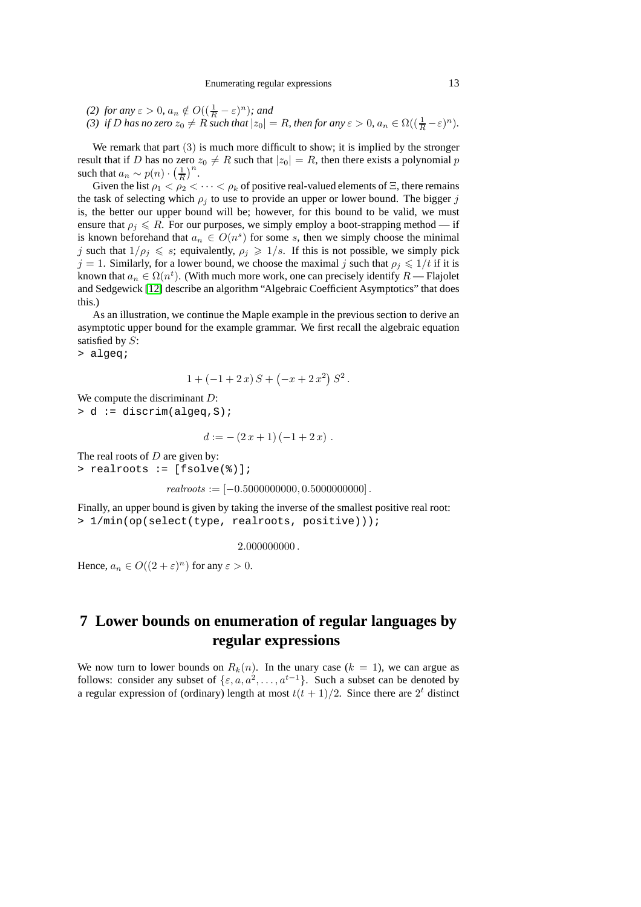*(2) for any*  $\varepsilon > 0$ ,  $a_n \notin O\left((\frac{1}{R} - \varepsilon)^n\right)$ *; and (3) if D* has no zero  $z_0 \neq R$  such that  $|z_0| = R$ , then for any  $\varepsilon > 0$ ,  $a_n \in \Omega((\frac{1}{R} - \varepsilon)^n)$ .

We remark that part (3) is much more difficult to show; it is implied by the stronger result that if D has no zero  $z_0 \neq R$  such that  $|z_0| = R$ , then there exists a polynomial p such that  $a_n \sim p(n) \cdot \left(\frac{1}{R}\right)^n$ .

Given the list  $\rho_1 < \rho_2 < \cdots < \rho_k$  of positive real-valued elements of  $\Xi$ , there remains the task of selecting which  $\rho_j$  to use to provide an upper or lower bound. The bigger j is, the better our upper bound will be; however, for this bound to be valid, we must ensure that  $\rho_i \leq R$ . For our purposes, we simply employ a boot-strapping method — if is known beforehand that  $a_n \in O(n^s)$  for some s, then we simply choose the minimal j such that  $1/\rho_i \leq s$ ; equivalently,  $\rho_i \geq 1/s$ . If this is not possible, we simply pick  $j = 1$ . Similarly, for a lower bound, we choose the maximal j such that  $\rho_i \leq 1/t$  if it is known that  $a_n \in \Omega(n^t)$ . (With much more work, one can precisely identify  $R$  — Flajolet and Sedgewick [\[12\]](#page-28-18) describe an algorithm "Algebraic Coefficient Asymptotics" that does this.)

As an illustration, we continue the Maple example in the previous section to derive an asymptotic upper bound for the example grammar. We first recall the algebraic equation satisfied by  $S$ :

> algeq;

$$
1 + (-1 + 2 x) S + (-x + 2 x2) S2.
$$

We compute the discriminant D: > d := discrim(algeq,S);

$$
d := -(2x+1)(-1+2x) .
$$

The real roots of  $D$  are given by: > realroots := [fsolve(%)];

$$
real roots := [-0.5000000000, 0.5000000000].
$$

Finally, an upper bound is given by taking the inverse of the smallest positive real root: > 1/min(op(select(type, realroots, positive)));

#### $2.0000000000$ .

Hence,  $a_n \in O((2 + \varepsilon)^n)$  for any  $\varepsilon > 0$ .

# <span id="page-12-0"></span>**7 Lower bounds on enumeration of regular languages by regular expressions**

We now turn to lower bounds on  $R_k(n)$ . In the unary case  $(k = 1)$ , we can argue as follows: consider any subset of  $\{\varepsilon, a, a^2, \dots, a^{t-1}\}$ . Such a subset can be denoted by a regular expression of (ordinary) length at most  $t(t + 1)/2$ . Since there are  $2<sup>t</sup>$  distinct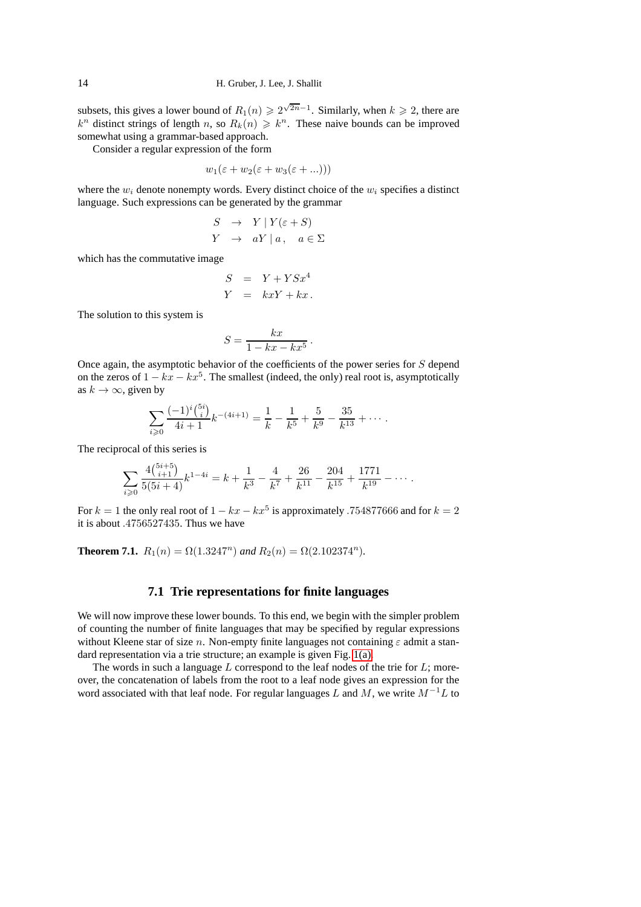subsets, this gives a lower bound of  $R_1(n) \ge 2^{\sqrt{2n}-1}$ . Similarly, when  $k \ge 2$ , there are  $k^n$  distinct strings of length n, so  $R_k(n) \geq k^n$ . These naive bounds can be improved somewhat using a grammar-based approach.

Consider a regular expression of the form

$$
w_1(\varepsilon + w_2(\varepsilon + w_3(\varepsilon + ...)))
$$

where the  $w_i$  denote nonempty words. Every distinct choice of the  $w_i$  specifies a distinct language. Such expressions can be generated by the grammar

$$
S \rightarrow Y | Y(\varepsilon + S)
$$
  
 
$$
Y \rightarrow aY | a, a \in \Sigma
$$

which has the commutative image

$$
S = Y + Y S x4
$$
  

$$
Y = k x Y + k x.
$$

The solution to this system is

$$
S = \frac{kx}{1 - kx - kx^5}.
$$

Once again, the asymptotic behavior of the coefficients of the power series for S depend on the zeros of  $1 - kx - kx^5$ . The smallest (indeed, the only) real root is, asymptotically as  $k \to \infty$ , given by

$$
\sum_{i\geqslant 0} \frac{(-1)^i \binom{5i}{i}}{4i+1} k^{-(4i+1)} = \frac{1}{k} - \frac{1}{k^5} + \frac{5}{k^9} - \frac{35}{k^{13}} + \cdots
$$

The reciprocal of this series is

$$
\sum_{i\geqslant 0} \frac{4\binom{5i+5}{i+1}}{5(5i+4)} k^{1-4i} = k + \frac{1}{k^3} - \frac{4}{k^7} + \frac{26}{k^{11}} - \frac{204}{k^{15}} + \frac{1771}{k^{19}} - \cdots
$$

For  $k = 1$  the only real root of  $1 - kx - kx^5$  is approximately .754877666 and for  $k = 2$ it is about .4756527435. Thus we have

<span id="page-13-0"></span>**Theorem 7.1.**  $R_1(n) = \Omega(1.3247^n)$  and  $R_2(n) = \Omega(2.102374^n)$ .

### **7.1 Trie representations for finite languages**

We will now improve these lower bounds. To this end, we begin with the simpler problem of counting the number of finite languages that may be specified by regular expressions without Kleene star of size n. Non-empty finite languages not containing  $\varepsilon$  admit a standard representation via a trie structure; an example is given Fig. [1\(a\).](#page-14-0)

The words in such a language  $L$  correspond to the leaf nodes of the trie for  $L$ ; moreover, the concatenation of labels from the root to a leaf node gives an expression for the word associated with that leaf node. For regular languages L and M, we write  $M^{-1}L$  to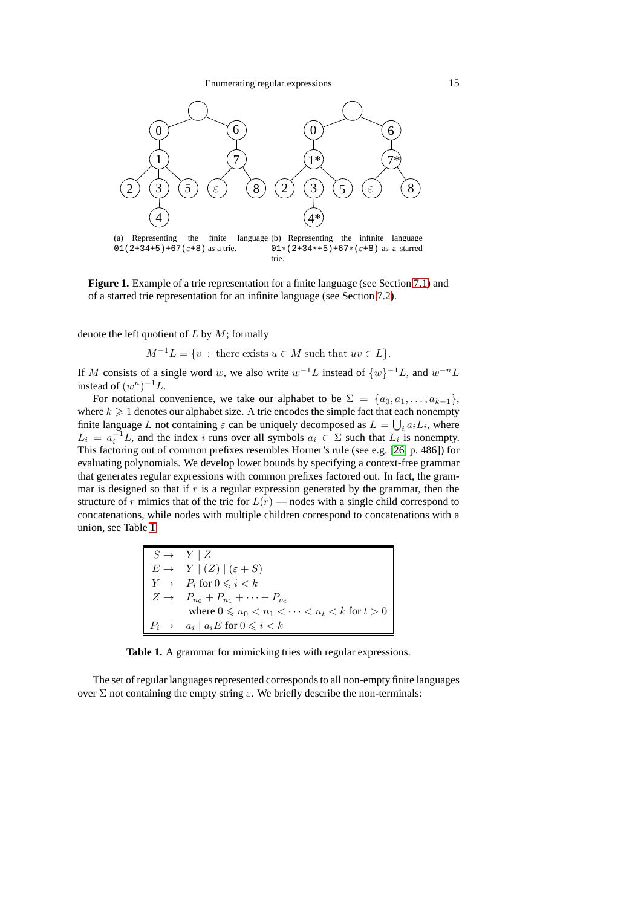<span id="page-14-2"></span>Enumerating regular expressions 15

<span id="page-14-0"></span>

**Figure 1.** Example of a trie representation for a finite language (see Section [7.1\)](#page-13-0) and of a starred trie representation for an infinite language (see Section [7.2\)](#page-18-0).

denote the left quotient of  $L$  by  $M$ ; formally

 $M^{-1}L = \{v : \text{there exists } u \in M \text{ such that } uv \in L\}.$ 

If M consists of a single word w, we also write  $w^{-1}L$  instead of  $\{w\}^{-1}L$ , and  $w^{-n}L$ instead of  $(w^n)^{-1}L$ .

For notational convenience, we take our alphabet to be  $\Sigma = \{a_0, a_1, \ldots, a_{k-1}\},\$ where  $k \geq 1$  denotes our alphabet size. A trie encodes the simple fact that each nonempty finite language L not containing  $\varepsilon$  can be uniquely decomposed as  $L = \bigcup_i a_i L_i$ , where  $L_i = a_i^{-1}L$ , and the index i runs over all symbols  $a_i \in \Sigma$  such that  $L_i$  is nonempty. This factoring out of common prefixes resembles Horner's rule (see e.g. [\[26,](#page-28-19) p. 486]) for evaluating polynomials. We develop lower bounds by specifying a context-free grammar that generates regular expressions with common prefixes factored out. In fact, the grammar is designed so that if  $r$  is a regular expression generated by the grammar, then the structure of r mimics that of the trie for  $L(r)$  — nodes with a single child correspond to concatenations, while nodes with multiple children correspond to concatenations with a union, see Table [1.](#page-14-1)

<span id="page-14-1"></span>

| $S \rightarrow Y \mid Z$                                   |
|------------------------------------------------------------|
| $E \rightarrow Y   (Z)   (\varepsilon + S)$                |
| $Y \rightarrow P_i$ for $0 \leq i \leq k$                  |
| $Z \to P_{n_0} + P_{n_1} + \cdots + P_{n_t}$               |
| where $0 \leq n_0 < n_1 < \cdots < n_t < k$ for $t > 0$    |
| $P_i \rightarrow a_i \mid a_i E \text{ for } 0 \leq i < k$ |

**Table 1.** A grammar for mimicking tries with regular expressions.

The set of regular languages represented corresponds to all non-empty finite languages over  $\Sigma$  not containing the empty string  $\varepsilon$ . We briefly describe the non-terminals: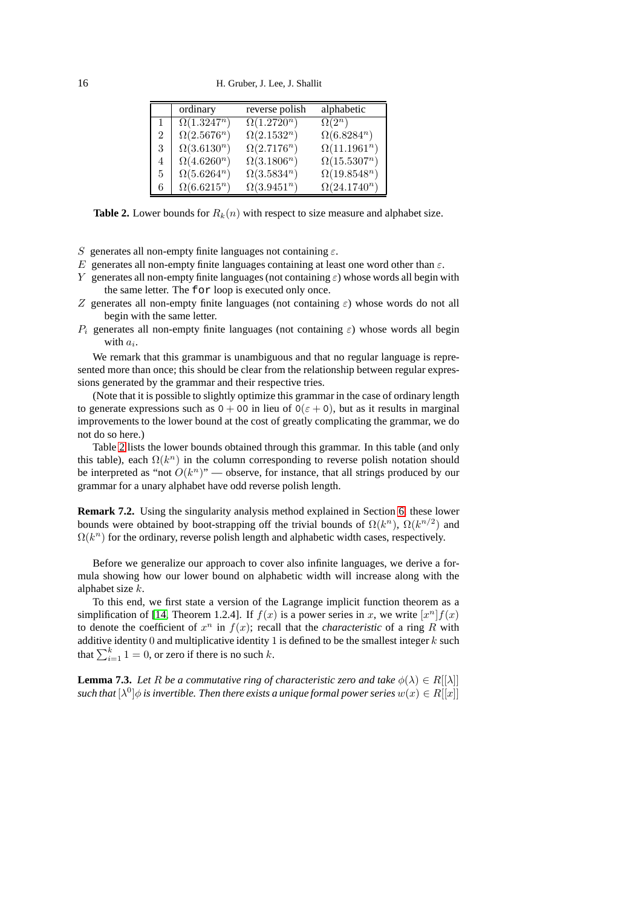<span id="page-15-0"></span>16 H. Gruber, J. Lee, J. Shallit

|                | ordinary                      | reverse polish     | alphabetic          |
|----------------|-------------------------------|--------------------|---------------------|
|                | $\overline{\Omega(1.3247^n)}$ | $\Omega(1.2720^n)$ | $\Omega(2^n)$       |
| $\mathfrak{D}$ | $\Omega(2.5676^n)$            | $\Omega(2.1532^n)$ | $\Omega(6.8284^n)$  |
| 3              | $\Omega(3.6130^n)$            | $\Omega(2.7176^n)$ | $\Omega(11.1961^n)$ |
| 4              | $\Omega(4.6260^n)$            | $\Omega(3.1806^n)$ | $\Omega(15.5307^n)$ |
| 5.             | $\Omega(5.6264^n)$            | $\Omega(3.5834^n)$ | $\Omega(19.8548^n)$ |
| 6              | $\Omega(6.6215^n)$            | $\Omega(3.9451^n)$ | $\Omega(24.1740^n)$ |

**Table 2.** Lower bounds for  $R_k(n)$  with respect to size measure and alphabet size.

- S generates all non-empty finite languages not containing  $\varepsilon$ .
- E generates all non-empty finite languages containing at least one word other than  $\varepsilon$ .
- Y generates all non-empty finite languages (not containing  $\varepsilon$ ) whose words all begin with the same letter. The for loop is executed only once.
- Z generates all non-empty finite languages (not containing  $\varepsilon$ ) whose words do not all begin with the same letter.
- $P_i$  generates all non-empty finite languages (not containing  $\varepsilon$ ) whose words all begin with  $a_i$ .

We remark that this grammar is unambiguous and that no regular language is represented more than once; this should be clear from the relationship between regular expressions generated by the grammar and their respective tries.

(Note that it is possible to slightly optimize this grammar in the case of ordinary length to generate expressions such as  $0 + 00$  in lieu of  $0(\epsilon + 0)$ , but as it results in marginal improvements to the lower bound at the cost of greatly complicating the grammar, we do not do so here.)

Table [2](#page-15-0) lists the lower bounds obtained through this grammar. In this table (and only this table), each  $\Omega(k^n)$  in the column corresponding to reverse polish notation should be interpreted as "not  $O(k^n)$ " — observe, for instance, that all strings produced by our grammar for a unary alphabet have odd reverse polish length.

**Remark 7.2.** Using the singularity analysis method explained in Section [6,](#page-9-0) these lower bounds were obtained by boot-strapping off the trivial bounds of  $\Omega(k^n)$ ,  $\Omega(k^{n/2})$  and  $\Omega(k^n)$  for the ordinary, reverse polish length and alphabetic width cases, respectively.

Before we generalize our approach to cover also infinite languages, we derive a formula showing how our lower bound on alphabetic width will increase along with the alphabet size k.

To this end, we first state a version of the Lagrange implicit function theorem as a simplification of [\[14,](#page-28-20) Theorem 1.2.4]. If  $f(x)$  is a power series in x, we write  $[x^n]f(x)$ to denote the coefficient of  $x^n$  in  $f(x)$ ; recall that the *characteristic* of a ring R with additive identity 0 and multiplicative identity 1 is defined to be the smallest integer  $k$  such that  $\sum_{i=1}^{k} 1 = 0$ , or zero if there is no such k.

**Lemma 7.3.** *Let* R *be a commutative ring of characteristic zero and take*  $\phi(\lambda) \in R[[\lambda]]$ such that  $[\lambda^0]\phi$  is invertible. Then there exists a unique formal power series  $w(x)\in R[[x]]$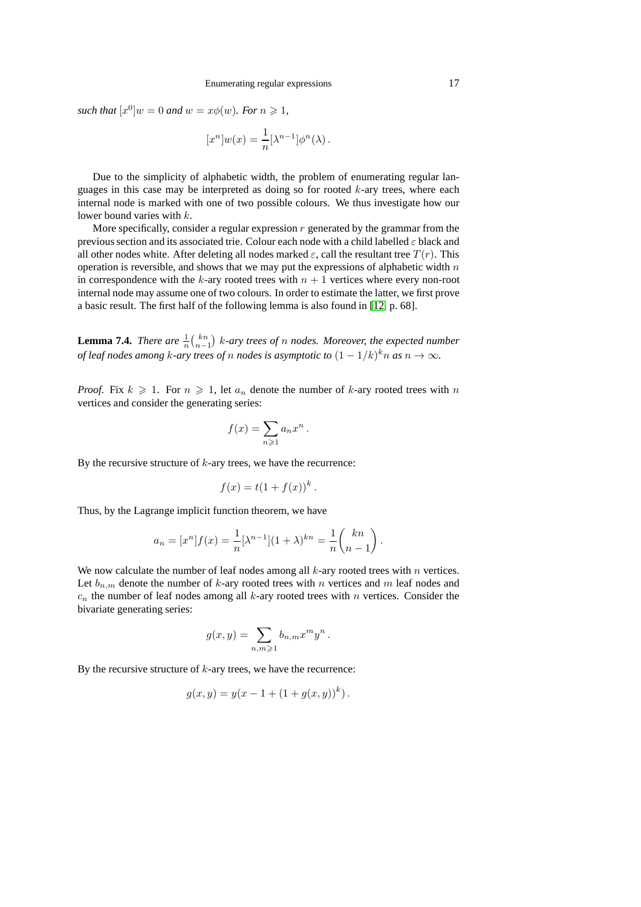such that  $[x^0]w = 0$  and  $w = x\phi(w)$ *. For*  $n \ge 1$ *,* 

$$
[x^n]w(x) = \frac{1}{n} [\lambda^{n-1}] \phi^n(\lambda) .
$$

Due to the simplicity of alphabetic width, the problem of enumerating regular languages in this case may be interpreted as doing so for rooted  $k$ -ary trees, where each internal node is marked with one of two possible colours. We thus investigate how our lower bound varies with k.

More specifically, consider a regular expression  $r$  generated by the grammar from the previous section and its associated trie. Colour each node with a child labelled  $\varepsilon$  black and all other nodes white. After deleting all nodes marked  $\varepsilon$ , call the resultant tree  $T(r)$ . This operation is reversible, and shows that we may put the expressions of alphabetic width  $n$ in correspondence with the k-ary rooted trees with  $n + 1$  vertices where every non-root internal node may assume one of two colours. In order to estimate the latter, we first prove a basic result. The first half of the following lemma is also found in [\[12,](#page-28-18) p. 68].

**Lemma 7.4.** *There are*  $\frac{1}{n} {k \choose n-1}$  *k*-ary trees of *n* nodes. Moreover, the expected number *of leaf nodes among k-ary trees of n nodes is asymptotic to*  $(1 - 1/k)^k n$  *as*  $n \to \infty$ *.* 

*Proof.* Fix  $k \geq 1$ . For  $n \geq 1$ , let  $a_n$  denote the number of k-ary rooted trees with n vertices and consider the generating series:

$$
f(x) = \sum_{n \geqslant 1} a_n x^n.
$$

By the recursive structure of  $k$ -ary trees, we have the recurrence:

$$
f(x) = t(1 + f(x))^k.
$$

Thus, by the Lagrange implicit function theorem, we have

$$
a_n = [x^n]f(x) = \frac{1}{n} [\lambda^{n-1}](1+\lambda)^{kn} = \frac{1}{n} {kn \choose n-1}.
$$

We now calculate the number of leaf nodes among all  $k$ -ary rooted trees with  $n$  vertices. Let  $b_{n,m}$  denote the number of k-ary rooted trees with n vertices and m leaf nodes and  $c_n$  the number of leaf nodes among all k-ary rooted trees with n vertices. Consider the bivariate generating series:

$$
g(x,y) = \sum_{n,m \geqslant 1} b_{n,m} x^m y^n.
$$

By the recursive structure of  $k$ -ary trees, we have the recurrence:

$$
g(x, y) = y(x - 1 + (1 + g(x, y))^{k}).
$$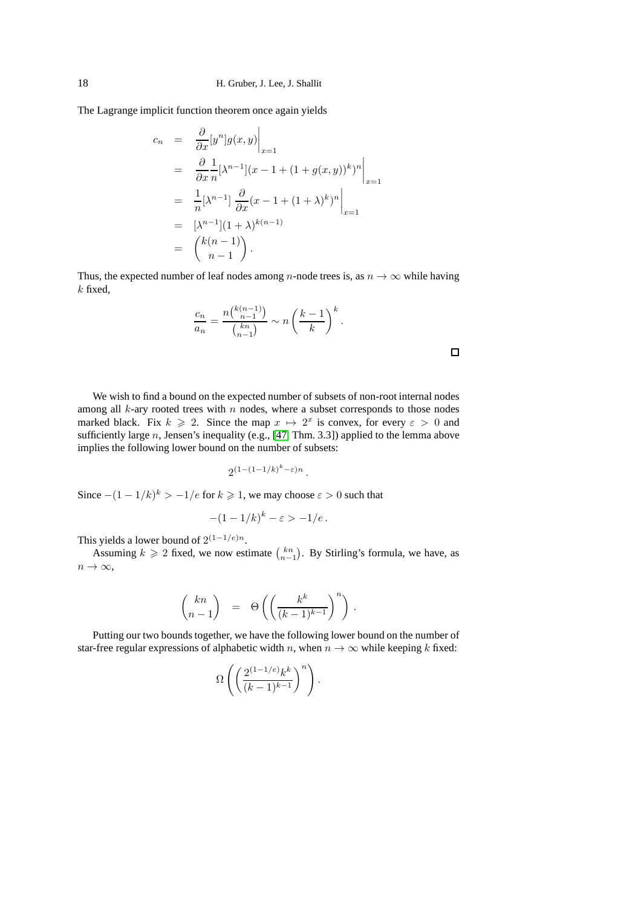The Lagrange implicit function theorem once again yields

$$
c_n = \frac{\partial}{\partial x} [y^n] g(x, y) \Big|_{x=1}
$$
  
\n
$$
= \frac{\partial}{\partial x} \frac{1}{n} [\lambda^{n-1}] (x - 1 + (1 + g(x, y))^k)^n \Big|_{x=1}
$$
  
\n
$$
= \frac{1}{n} [\lambda^{n-1}] \frac{\partial}{\partial x} (x - 1 + (1 + \lambda)^k)^n \Big|_{x=1}
$$
  
\n
$$
= [\lambda^{n-1}] (1 + \lambda)^{k(n-1)}
$$
  
\n
$$
= {k(n-1) \choose n-1}.
$$

Thus, the expected number of leaf nodes among *n*-node trees is, as  $n \to \infty$  while having  $k$  fixed,

$$
\frac{c_n}{a_n} = \frac{n\binom{k(n-1)}{n-1}}{\binom{kn}{n-1}} \sim n\left(\frac{k-1}{k}\right)^k.
$$

 $\Box$ 

We wish to find a bound on the expected number of subsets of non-root internal nodes among all  $k$ -ary rooted trees with  $n$  nodes, where a subset corresponds to those nodes marked black. Fix  $k \ge 2$ . Since the map  $x \mapsto 2^x$  is convex, for every  $\varepsilon > 0$  and sufficiently large n, Jensen's inequality (e.g.,  $[47, Thm. 3.3]$ ) applied to the lemma above implies the following lower bound on the number of subsets:

$$
2^{(1-(1-1/k)^k-\varepsilon)n}\,.
$$

Since  $-(1-1/k)^k > -1/e$  for  $k \ge 1$ , we may choose  $\varepsilon > 0$  such that

$$
-(1-1/k)^k - \varepsilon > -1/e.
$$

This yields a lower bound of  $2^{(1-1/e)n}$ .

Assuming  $k \geqslant 2$  fixed, we now estimate  $\binom{kn}{n-1}$ . By Stirling's formula, we have, as  $n \to \infty$ ,

$$
\binom{kn}{n-1} \;\; = \;\; \Theta\left( \left( \frac{k^k}{(k-1)^{k-1}} \right)^n \right) \, .
$$

Putting our two bounds together, we have the following lower bound on the number of star-free regular expressions of alphabetic width n, when  $n \to \infty$  while keeping k fixed:

$$
\Omega\left(\left(\frac{2^{(1-1/e)}k^k}{(k-1)^{k-1}}\right)^n\right).
$$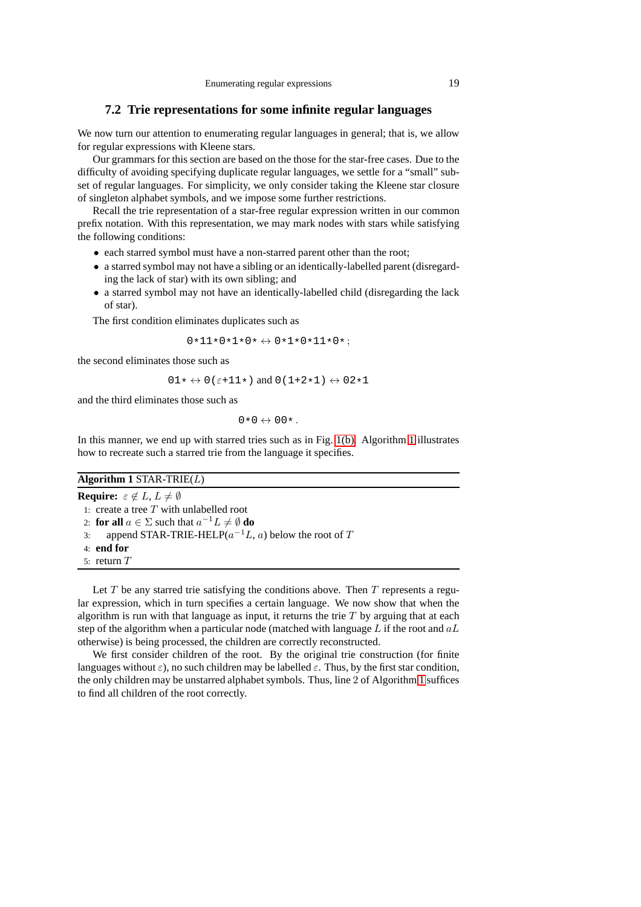### <span id="page-18-0"></span>**7.2 Trie representations for some infinite regular languages**

We now turn our attention to enumerating regular languages in general; that is, we allow for regular expressions with Kleene stars.

Our grammars for this section are based on the those for the star-free cases. Due to the difficulty of avoiding specifying duplicate regular languages, we settle for a "small" subset of regular languages. For simplicity, we only consider taking the Kleene star closure of singleton alphabet symbols, and we impose some further restrictions.

Recall the trie representation of a star-free regular expression written in our common prefix notation. With this representation, we may mark nodes with stars while satisfying the following conditions:

- each starred symbol must have a non-starred parent other than the root;
- a starred symbol may not have a sibling or an identically-labelled parent (disregarding the lack of star) with its own sibling; and
- a starred symbol may not have an identically-labelled child (disregarding the lack of star).

The first condition eliminates duplicates such as

 $0*11*0*1*0* \leftrightarrow 0*1*0*11*0*;$ 

the second eliminates those such as

 $01 \star \leftrightarrow 0(\epsilon + 11 \star)$  and  $0(1+2 \star 1) \leftrightarrow 02 \star 1$ 

and the third eliminates those such as

 $0*0 \leftrightarrow 00*.$ 

In this manner, we end up with starred tries such as in Fig. [1\(b\).](#page-14-2) Algorithm [1](#page-18-1) illustrates how to recreate such a starred trie from the language it specifies.

### <span id="page-18-1"></span>**Algorithm 1** STAR-TRIE(L)

**Require:**  $\varepsilon \notin L, L \neq \emptyset$ 

1: create a tree  $T$  with unlabelled root

2: **for all**  $a \in \Sigma$  such that  $a^{-1}L \neq \emptyset$  **do** 

- 3: append STAR-TRIE-HELP( $a^{-1}L$ , a) below the root of T
- 4: **end for**
- 5: return T

Let  $T$  be any starred trie satisfying the conditions above. Then  $T$  represents a regular expression, which in turn specifies a certain language. We now show that when the algorithm is run with that language as input, it returns the trie  $T$  by arguing that at each step of the algorithm when a particular node (matched with language  $L$  if the root and  $aL$ otherwise) is being processed, the children are correctly reconstructed.

We first consider children of the root. By the original trie construction (for finite languages without  $\varepsilon$ ), no such children may be labelled  $\varepsilon$ . Thus, by the first star condition, the only children may be unstarred alphabet symbols. Thus, line 2 of Algorithm [1](#page-18-1) suffices to find all children of the root correctly.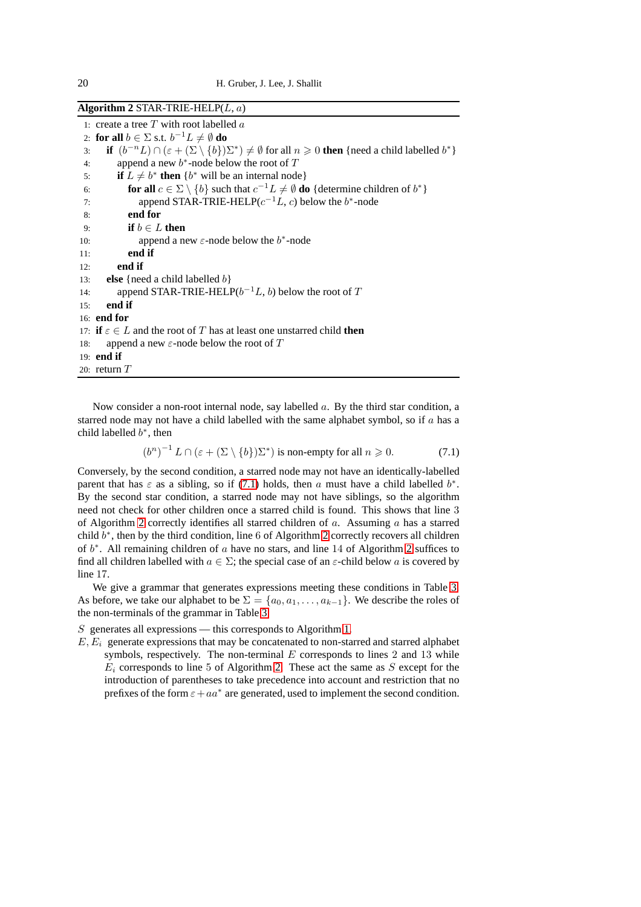<span id="page-19-1"></span>**Algorithm 2** STAR-TRIE-HELP(L, a)

1: create a tree  $T$  with root labelled  $a$ 2: **for all**  $b \in \Sigma$  s.t.  $b^{-1}L \neq \emptyset$  **do** 3: **if**  $(b^{-n}L) \cap (\varepsilon + (\Sigma \setminus \{b\})\Sigma^*) \neq \emptyset$  for all  $n \geq 0$  **then** {need a child labelled  $b^*$ } 4: append a new  $b^*$ -node below the root of T 5: **if**  $L \neq b^*$  then  $\{b^*$  will be an internal node} 6: **for all**  $c \in \Sigma \setminus \{b\}$  such that  $c^{-1}L \neq \emptyset$  **do** {determine children of  $b^*$ } 7: append STAR-TRIE-HELP( $c^{-1}L$ , c) below the  $b^*$ -node 8: **end for** 9: **if**  $b \in L$  **then**<br>10: **append a** no 10: append a new  $\varepsilon$ -node below the  $b^*$ -node 11: **end if** 12: **end if** 13: **else** {need a child labelled b} 14: append STAR-TRIE-HELP( $b^{-1}L$ , b) below the root of T 15: **end if** 16: **end for** 17: **if**  $\varepsilon \in L$  and the root of T has at least one unstarred child **then** 18: append a new  $\varepsilon$ -node below the root of T append a new  $\varepsilon$ -node below the root of T 19: **end if** 20: return  $T$ 

Now consider a non-root internal node, say labelled  $a$ . By the third star condition, a starred node may not have a child labelled with the same alphabet symbol, so if  $a$  has a child labelled  $b^*$ , then

<span id="page-19-0"></span>
$$
(bn)-1 L \cap (\varepsilon + (\Sigma \setminus \{b\})\Sigma^*) \text{ is non-empty for all } n \ge 0.
$$
 (7.1)

Conversely, by the second condition, a starred node may not have an identically-labelled parent that has  $\varepsilon$  as a sibling, so if [\(7.1\)](#page-19-0) holds, then a must have a child labelled  $b^*$ . By the second star condition, a starred node may not have siblings, so the algorithm need not check for other children once a starred child is found. This shows that line 3 of Algorithm [2](#page-19-1) correctly identifies all starred children of  $a$ . Assuming  $a$  has a starred child  $b^*$ , then by the third condition, line 6 of Algorithm [2](#page-19-1) correctly recovers all children of  $b^*$ . All remaining children of a have no stars, and line 14 of Algorithm [2](#page-19-1) suffices to find all children labelled with  $a \in \Sigma$ ; the special case of an  $\varepsilon$ -child below a is covered by line 17.

We give a grammar that generates expressions meeting these conditions in Table [3.](#page-20-0) As before, we take our alphabet to be  $\Sigma = \{a_0, a_1, \ldots, a_{k-1}\}\.$  We describe the roles of the non-terminals of the grammar in Table [3.](#page-20-0)

 $S$  generates all expressions — this corresponds to Algorithm [1.](#page-18-1)

 $E, E_i$  generate expressions that may be concatenated to non-starred and starred alphabet symbols, respectively. The non-terminal  $E$  corresponds to lines 2 and 13 while  $E_i$  corresponds to line 5 of Algorithm [2.](#page-19-1) These act the same as S except for the introduction of parentheses to take precedence into account and restriction that no prefixes of the form  $\varepsilon + aa^*$  are generated, used to implement the second condition.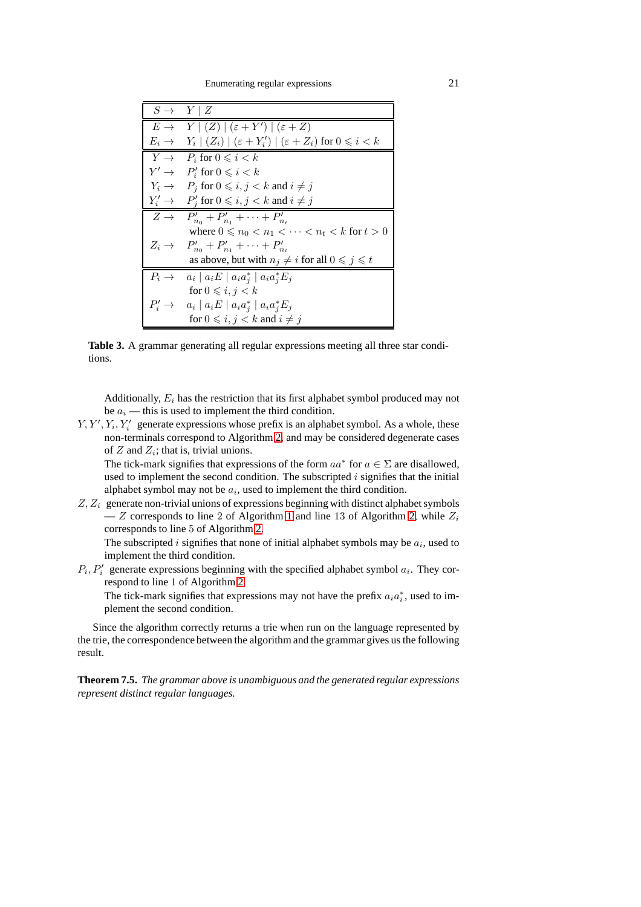Enumerating regular expressions 21

<span id="page-20-0"></span>

| $S \rightarrow Y \mid Z$ |                                                                                                        |
|--------------------------|--------------------------------------------------------------------------------------------------------|
|                          | $E \rightarrow Y   (Z)   (\varepsilon + Y')   (\varepsilon + Z)$                                       |
|                          | $E_i \rightarrow Y_i \mid (Z_i) \mid (\varepsilon + Y'_i) \mid (\varepsilon + Z_i)$ for $0 \leq i < k$ |
|                          | $Y \rightarrow P_i$ for $0 \leq i \leq k$                                                              |
|                          | $Y' \rightarrow P'_i$ for $0 \leq i \leq k$                                                            |
|                          | $Y_i \rightarrow P_j$ for $0 \leqslant i, j < k$ and $i \neq j$                                        |
|                          | $Y'_i \rightarrow P'_i$ for $0 \leq i, j < k$ and $i \neq j$                                           |
|                          | $Z \to P'_{n_0} + P'_{n_1} + \cdots + P'_{n_t}$                                                        |
|                          | where $0 \leq n_0 < n_1 < \cdots < n_t < k$ for $t > 0$                                                |
|                          | $Z_i \rightarrow P'_{n_0} + P'_{n_1} + \cdots + P'_{n_r}$                                              |
|                          | as above, but with $n_i \neq i$ for all $0 \leq j \leq t$                                              |
|                          | $P_i \rightarrow a_i \mid a_i E \mid a_i a_j^* \mid a_i a_i^* E_j$                                     |
|                          | for $0 \leq i, j < k$                                                                                  |
|                          | $P'_i \rightarrow a_i \mid a_i E \mid a_i a_i^* \mid a_i a_i^* E_j$                                    |
|                          | for $0 \leq i, j < k$ and $i \neq j$                                                                   |

**Table 3.** A grammar generating all regular expressions meeting all three star conditions.

Additionally,  $E_i$  has the restriction that its first alphabet symbol produced may not be  $a_i$  — this is used to implement the third condition.

 $Y, Y', Y_i, Y'_i$  generate expressions whose prefix is an alphabet symbol. As a whole, these non-terminals correspond to Algorithm [2,](#page-19-1) and may be considered degenerate cases of  $Z$  and  $Z_i$ ; that is, trivial unions.

The tick-mark signifies that expressions of the form  $aa^*$  for  $a \in \Sigma$  are disallowed, used to implement the second condition. The subscripted  $i$  signifies that the initial alphabet symbol may not be  $a_i$ , used to implement the third condition.

 $Z, Z_i$  generate non-trivial unions of expressions beginning with distinct alphabet symbols — Z corresponds to line 2 of Algorithm [1](#page-18-1) and line 13 of Algorithm [2,](#page-19-1) while  $Z_i$ corresponds to line 5 of Algorithm [2.](#page-19-1)

The subscripted i signifies that none of initial alphabet symbols may be  $a_i$ , used to implement the third condition.

 $P_i, P'_i$  generate expressions beginning with the specified alphabet symbol  $a_i$ . They correspond to line 1 of Algorithm [2.](#page-19-1)

The tick-mark signifies that expressions may not have the prefix  $a_i a_i^*$ , used to implement the second condition.

Since the algorithm correctly returns a trie when run on the language represented by the trie, the correspondence between the algorithm and the grammar gives us the following result.

**Theorem 7.5.** *The grammar above is unambiguous and the generated regular expressions represent distinct regular languages.*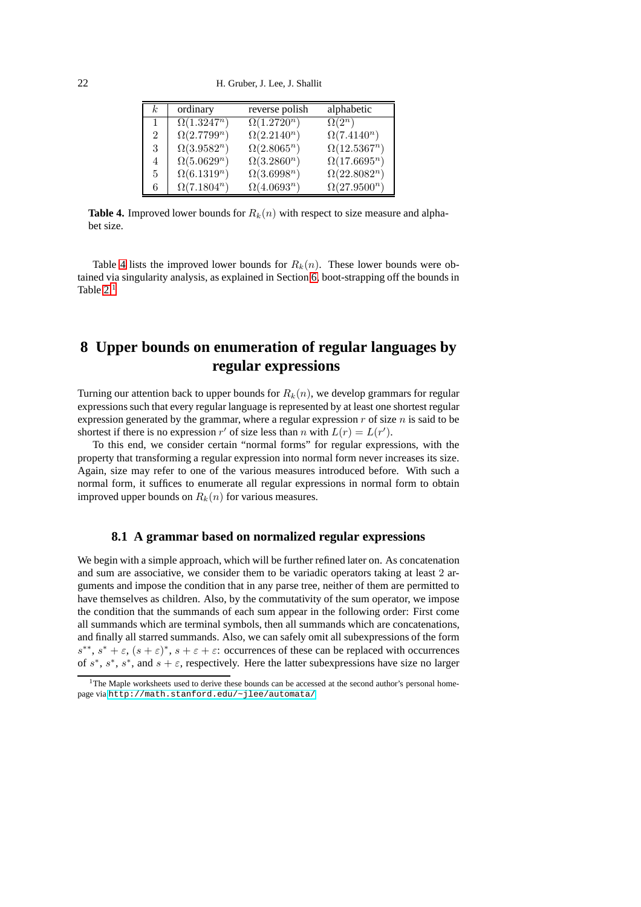<span id="page-21-2"></span>22 H. Gruber, J. Lee, J. Shallit

| k.             | ordinary           | reverse polish     | alphabetic          |
|----------------|--------------------|--------------------|---------------------|
|                | $\Omega(1.3247^n)$ | $\Omega(1.2720^n)$ | $\Omega(2^n)$       |
| $\mathfrak{D}$ | $\Omega(2.7799^n)$ | $\Omega(2.2140^n)$ | $\Omega(7.4140^n)$  |
| 3              | $\Omega(3.9582^n)$ | $\Omega(2.8065^n)$ | $\Omega(12.5367^n)$ |
| 4              | $\Omega(5.0629^n)$ | $\Omega(3.2860^n)$ | $\Omega(17.6695^n)$ |
| 5              | $\Omega(6.1319^n)$ | $\Omega(3.6998^n)$ | $\Omega(22.8082^n)$ |
| 6              | $\Omega(7.1804^n)$ | $\Omega(4.0693^n)$ | $\Omega(27.9500^n)$ |

**Table 4.** Improved lower bounds for  $R_k(n)$  with respect to size measure and alphabet size.

Table [4](#page-21-2) lists the improved lower bounds for  $R_k(n)$ . These lower bounds were obtained via singularity analysis, as explained in Section [6,](#page-9-0) boot-strapping off the bounds in Table  $2<sup>1</sup>$  $2<sup>1</sup>$  $2<sup>1</sup>$ 

# <span id="page-21-0"></span>**8 Upper bounds on enumeration of regular languages by regular expressions**

Turning our attention back to upper bounds for  $R_k(n)$ , we develop grammars for regular expressions such that every regular language is represented by at least one shortest regular expression generated by the grammar, where a regular expression  $r$  of size  $n$  is said to be shortest if there is no expression r' of size less than n with  $L(r) = L(r')$ .

To this end, we consider certain "normal forms" for regular expressions, with the property that transforming a regular expression into normal form never increases its size. Again, size may refer to one of the various measures introduced before. With such a normal form, it suffices to enumerate all regular expressions in normal form to obtain improved upper bounds on  $R_k(n)$  for various measures.

### <span id="page-21-1"></span>**8.1 A grammar based on normalized regular expressions**

We begin with a simple approach, which will be further refined later on. As concatenation and sum are associative, we consider them to be variadic operators taking at least 2 arguments and impose the condition that in any parse tree, neither of them are permitted to have themselves as children. Also, by the commutativity of the sum operator, we impose the condition that the summands of each sum appear in the following order: First come all summands which are terminal symbols, then all summands which are concatenations, and finally all starred summands. Also, we can safely omit all subexpressions of the form  $s^{**}, s^* + \varepsilon, (s + \varepsilon)^*, s + \varepsilon + \varepsilon$ : occurrences of these can be replaced with occurrences of  $s^*$ ,  $s^*$ ,  $s^*$ , and  $s + \varepsilon$ , respectively. Here the latter subexpressions have size no larger

<span id="page-21-3"></span><sup>&</sup>lt;sup>1</sup>The Maple worksheets used to derive these bounds can be accessed at the second author's personal homepage via <http://math.stanford.edu/~jlee/automata/>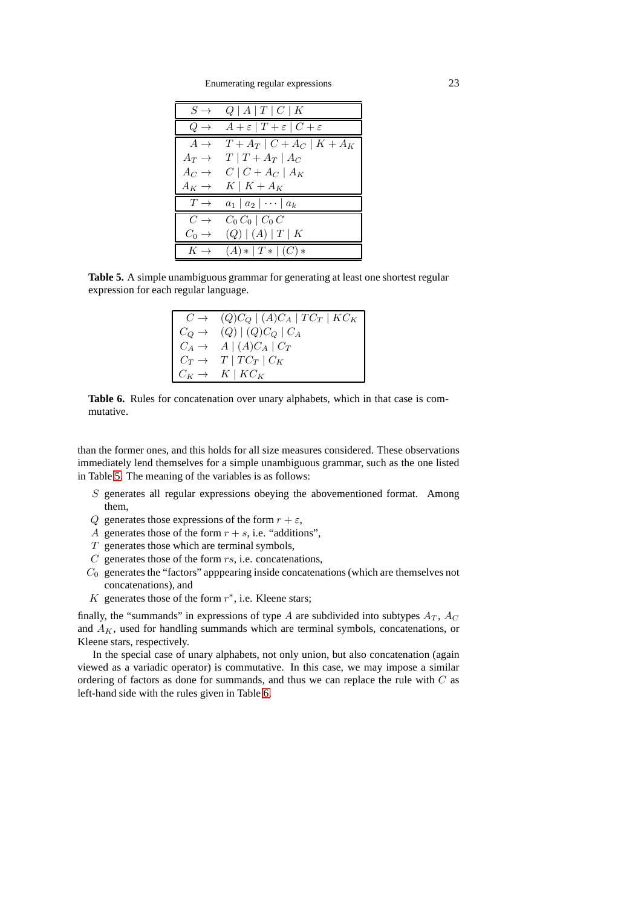Enumerating regular expressions 23

<span id="page-22-0"></span>

| $S \to$           | Q   A   T   C   K                                   |
|-------------------|-----------------------------------------------------|
| $Q \rightarrow$   | $A+\varepsilon$   $T+\varepsilon$   $C+\varepsilon$ |
| $A \rightarrow$   | $T + A_T   C + A_C   K + A_K$                       |
| $A_T \rightarrow$ | $T   T + A_T   A_C$                                 |
| $A_C \rightarrow$ | $C \mid C + A_C \mid A_K$                           |
| $A_K \rightarrow$ | $K \mid K+A_K$                                      |
| $T \rightarrow$   | $a_1 \mid a_2 \mid \cdots \mid a_k$                 |
| $C \rightarrow$   | $C_0 C_0 \mid C_0 C$                                |
| $C_0 \rightarrow$ | (Q)   (A)   T   K                                   |
| $K \rightarrow$   | $(A) *  T *   (C) *$                                |

<span id="page-22-1"></span>**Table 5.** A simple unambiguous grammar for generating at least one shortest regular expression for each regular language.

| $C \rightarrow (Q)C_Q   (A)C_A   TC_T   KC_K  $ |
|-------------------------------------------------|
| $C_Q \rightarrow (Q)   (Q) C_Q   C_A$           |
| $C_A \rightarrow A \mid (A)C_A \mid C_T$        |
| $C_T \rightarrow T \mid T C_T \mid C_K$         |
| $C_K \rightarrow K \mid KC_K$                   |



than the former ones, and this holds for all size measures considered. These observations immediately lend themselves for a simple unambiguous grammar, such as the one listed in Table [5.](#page-22-0) The meaning of the variables is as follows:

- S generates all regular expressions obeying the abovementioned format. Among them,
- Q generates those expressions of the form  $r + \varepsilon$ ,
- A generates those of the form  $r + s$ , i.e. "additions",
- $T$  generates those which are terminal symbols,
- $C$  generates those of the form  $rs$ , i.e. concatenations,
- $C_0$  generates the "factors" apppearing inside concatenations (which are themselves not concatenations), and
- K generates those of the form  $r^*$ , i.e. Kleene stars;

finally, the "summands" in expressions of type A are subdivided into subtypes  $A_T$ ,  $A_C$ and  $A_K$ , used for handling summands which are terminal symbols, concatenations, or Kleene stars, respectively.

In the special case of unary alphabets, not only union, but also concatenation (again viewed as a variadic operator) is commutative. In this case, we may impose a similar ordering of factors as done for summands, and thus we can replace the rule with C as left-hand side with the rules given in Table [6.](#page-22-1)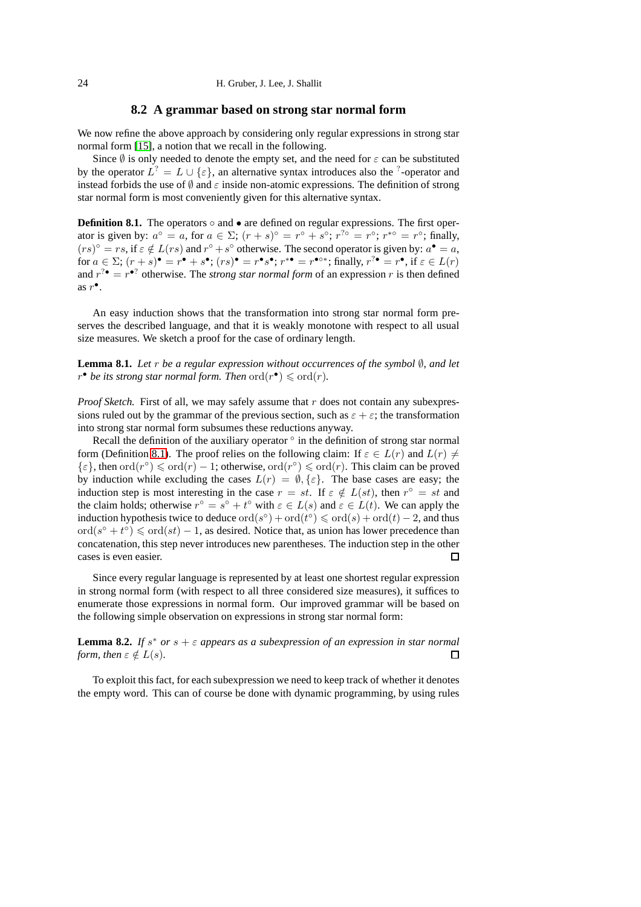### **8.2 A grammar based on strong star normal form**

<span id="page-23-0"></span>We now refine the above approach by considering only regular expressions in strong star normal form [\[15\]](#page-28-21), a notion that we recall in the following.

Since  $\emptyset$  is only needed to denote the empty set, and the need for  $\varepsilon$  can be substituted by the operator  $L^? = L \cup \{\varepsilon\}$ , an alternative syntax introduces also the <sup>?</sup>-operator and instead forbids the use of  $\emptyset$  and  $\varepsilon$  inside non-atomic expressions. The definition of strong star normal form is most conveniently given for this alternative syntax.

<span id="page-23-1"></span>**Definition 8.1.** The operators  $\circ$  and  $\bullet$  are defined on regular expressions. The first operator is given by:  $a^{\circ} = a$ , for  $a \in \Sigma$ ;  $(r + s)^{\circ} = r^{\circ} + s^{\circ}$ ;  $r^{2\circ} = r^{\circ}$ ;  $r^{*\circ} = r^{\circ}$ ; finally,  $(rs)^{\circ} = rs$ , if  $\varepsilon \notin L(rs)$  and  $r^{\circ} + s^{\circ}$  otherwise. The second operator is given by:  $a^{\bullet} = a$ , for  $a \in \Sigma$ ;  $(r+s)$   $\bullet = r^{\bullet} + s^{\bullet}$ ;  $(rs)^{\bullet} = r^{\bullet} s^{\bullet}$ ;  $r^{*\bullet} = r^{\bullet \circ *}$ ; finally,  $r^{?\bullet} = r^{\bullet}$ , if  $\varepsilon \in L(r)$ and  $r^{2\bullet} = r^{\bullet}$ ? otherwise. The *strong star normal form* of an expression r is then defined as  $r^{\bullet}$ .

An easy induction shows that the transformation into strong star normal form preserves the described language, and that it is weakly monotone with respect to all usual size measures. We sketch a proof for the case of ordinary length.

**Lemma 8.1.** *Let* r *be a regular expression without occurrences of the symbol* ∅*, and let*  $r^{\bullet}$  *be its strong star normal form. Then*  $\mathrm{ord}(r^{\bullet}) \leq \mathrm{ord}(r)$ *.* 

*Proof Sketch.* First of all, we may safely assume that r does not contain any subexpressions ruled out by the grammar of the previous section, such as  $\varepsilon + \varepsilon$ ; the transformation into strong star normal form subsumes these reductions anyway.

Recall the definition of the auxiliary operator  $\circ$  in the definition of strong star normal form (Definition [8.1\)](#page-23-1). The proof relies on the following claim: If  $\varepsilon \in L(r)$  and  $L(r) \neq$  $\{\varepsilon\}$ , then  $\text{ord}(r^{\circ}) \leq \text{ord}(r) - 1$ ; otherwise,  $\text{ord}(r^{\circ}) \leq \text{ord}(r)$ . This claim can be proved by induction while excluding the cases  $L(r) = \emptyset, \{\varepsilon\}$ . The base cases are easy; the induction step is most interesting in the case  $r = st$ . If  $\varepsilon \notin L(st)$ , then  $r^{\circ} = st$  and the claim holds; otherwise  $r^{\circ} = s^{\circ} + t^{\circ}$  with  $\varepsilon \in L(s)$  and  $\varepsilon \in L(t)$ . We can apply the induction hypothesis twice to deduce  $\text{ord}(s^{\circ}) + \text{ord}(t^{\circ}) \leq \text{ord}(s) + \text{ord}(t) - 2$ , and thus  $\text{ord}(s^{\circ} + t^{\circ}) \leq \text{ord}(st) - 1$ , as desired. Notice that, as union has lower precedence than concatenation, this step never introduces new parentheses. The induction step in the other cases is even easier.  $\Box$ 

Since every regular language is represented by at least one shortest regular expression in strong normal form (with respect to all three considered size measures), it suffices to enumerate those expressions in normal form. Our improved grammar will be based on the following simple observation on expressions in strong star normal form:

**Lemma 8.2.** If  $s^*$  or  $s + \varepsilon$  appears as a subexpression of an expression in star normal *form, then*  $\varepsilon \notin L(s)$ *.* □

To exploit this fact, for each subexpression we need to keep track of whether it denotes the empty word. This can of course be done with dynamic programming, by using rules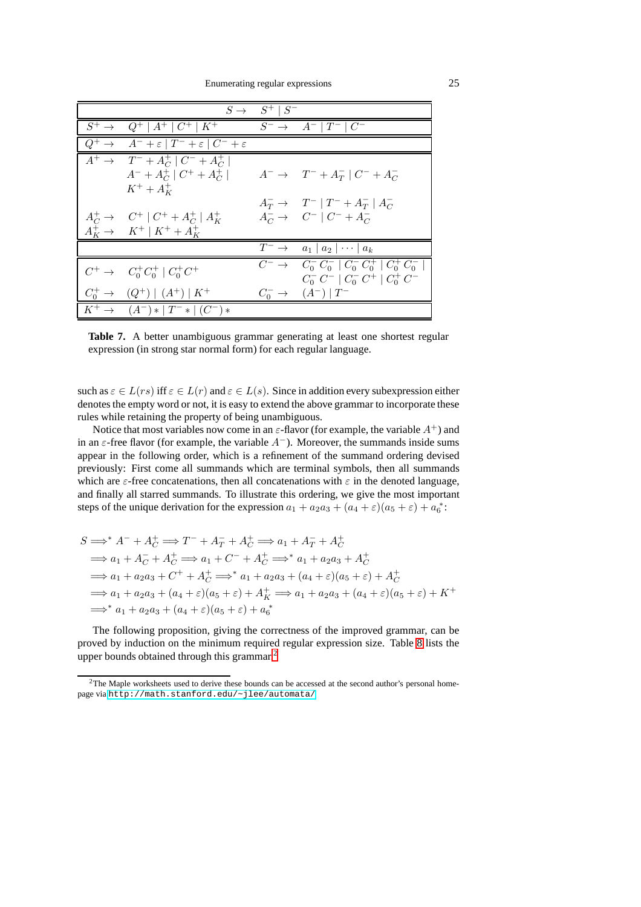<span id="page-24-1"></span>

|                                                                           | $S \rightarrow S^+ \mid S^-$ |                                                                                                              |
|---------------------------------------------------------------------------|------------------------------|--------------------------------------------------------------------------------------------------------------|
| $S^+ \rightarrow Q^+ \mid A^+ \mid C^+ \mid K^+$                          |                              | $S^ \rightarrow$ $A^-$   $T^-$   $C^-$                                                                       |
| $Q^+ \rightarrow A^- + \varepsilon  T^- + \varepsilon  C^- + \varepsilon$ |                              |                                                                                                              |
| $A^+ \rightarrow T^- + A_C^+   C^- + A_C^+  $                             |                              |                                                                                                              |
| $A^{-} + A_{C}^{+}   C^{+} + A_{C}^{+}  $                                 |                              | $A^{-} \rightarrow T^{-} + A_{T}^{-}   C^{-} + A_{C}^{-}$                                                    |
| $K^+ + A^+_{K}$                                                           |                              |                                                                                                              |
|                                                                           |                              | $A_T^- \to T^-   T^- + A_T^-   A_C^-$                                                                        |
| $A_C^+ \to C^+   C^+ + A_C^+   A_K^+$                                     |                              | $A_C^- \to C^-   C^- + A_C^-$                                                                                |
| $A_K^+ \rightarrow K^+ \mid K^+ + A_K^+$                                  |                              |                                                                                                              |
|                                                                           |                              | $T^{-} \rightarrow a_1 \mid a_2 \mid \cdots \mid a_k$                                                        |
| $C^+ \rightarrow C_0^+ C_0^+   C_0^+ C^+$                                 |                              | $C^{-}$ $\rightarrow$ $C_{0}^{-}$ $C_{0}^{-}$   $C_{0}^{-}$ $C_{0}^{+}$   $C_{0}^{+}$ $\overline{C_{0}^{-}}$ |
|                                                                           |                              | $C_0^- C^-$   $C_0^- C^+$   $C_0^+ C^-$                                                                      |
| $C_0^+ \rightarrow (Q^+)   (A^+)   K^+$                                   |                              | $C_0^- \to (A^-)   T^-$                                                                                      |
| $K^+ \to (A^-) *  T^- *   (C^-) *$                                        |                              |                                                                                                              |

Table 7. A better unambiguous grammar generating at least one shortest regular expression (in strong star normal form) for each regular language.

such as  $\varepsilon \in L(rs)$  iff  $\varepsilon \in L(r)$  and  $\varepsilon \in L(s)$ . Since in addition every subexpression either denotes the empty word or not, it is easy to extend the above grammar to incorporate these rules while retaining the property of being unambiguous.

Notice that most variables now come in an  $\varepsilon$ -flavor (for example, the variable  $A^+$ ) and in an  $\varepsilon$ -free flavor (for example, the variable  $A^-$ ). Moreover, the summands inside sums appear in the following order, which is a refinement of the summand ordering devised previously: First come all summands which are terminal symbols, then all summands which are  $\varepsilon$ -free concatenations, then all concatenations with  $\varepsilon$  in the denoted language, and finally all starred summands. To illustrate this ordering, we give the most important steps of the unique derivation for the expression  $a_1 + a_2a_3 + (a_4 + \varepsilon)(a_5 + \varepsilon) + a_6^*$ :

$$
S \Longrightarrow^* A^- + A_C^+ \Longrightarrow T^- + A_T^- + A_C^+ \Longrightarrow a_1 + A_T^- + A_C^+
$$
  
\n
$$
\Longrightarrow a_1 + A_C^- + A_C^+ \Longrightarrow a_1 + C^- + A_C^+ \Longrightarrow^* a_1 + a_2 a_3 + A_C^+
$$
  
\n
$$
\Longrightarrow a_1 + a_2 a_3 + C^+ + A_C^+ \Longrightarrow^* a_1 + a_2 a_3 + (a_4 + \varepsilon)(a_5 + \varepsilon) + A_C^+
$$
  
\n
$$
\Longrightarrow a_1 + a_2 a_3 + (a_4 + \varepsilon)(a_5 + \varepsilon) + A_K^+ \Longrightarrow a_1 + a_2 a_3 + (a_4 + \varepsilon)(a_5 + \varepsilon) + K^+
$$
  
\n
$$
\Longrightarrow^* a_1 + a_2 a_3 + (a_4 + \varepsilon)(a_5 + \varepsilon) + a_6^+
$$

The following proposition, giving the correctness of the improved grammar, can be proved by induction on the minimum required regular expression size. Table [8](#page-25-1) lists the upper bounds obtained through this grammar.<sup>[2](#page-24-0)</sup>

<span id="page-24-0"></span> $2$ The Maple worksheets used to derive these bounds can be accessed at the second author's personal homepage via <http://math.stanford.edu/~jlee/automata/>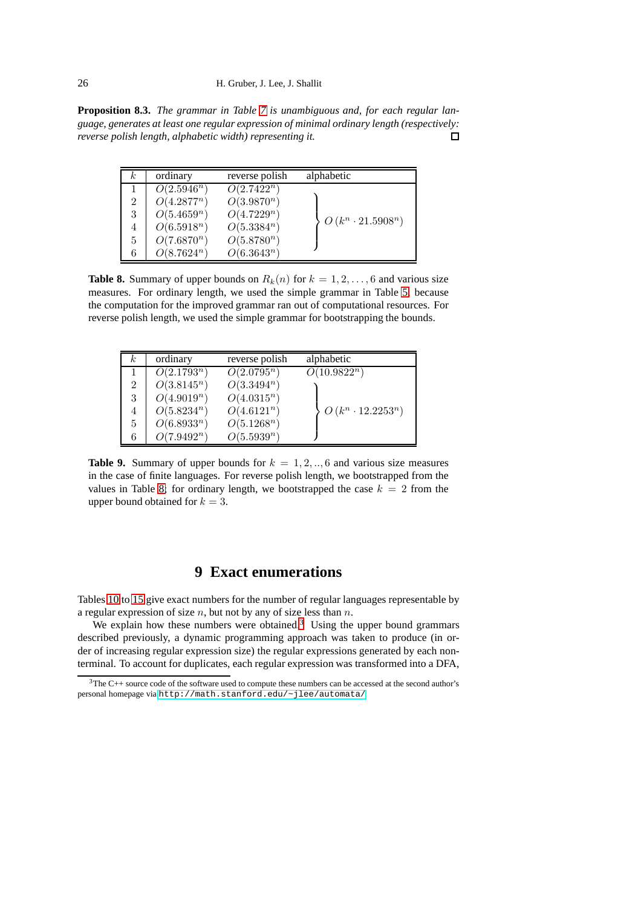#### 26 H. Gruber, J. Lee, J. Shallit

<span id="page-25-1"></span>**Proposition 8.3.** *The grammar in Table [7](#page-24-1) is unambiguous and, for each regular language, generates at least one regular expression of minimal ordinary length (respectively: reverse polish length, alphabetic width) representing it.*  $\Box$ 

| k.             | ordinary      | reverse polish | alphabetic               |
|----------------|---------------|----------------|--------------------------|
|                | $O(2.5946^n)$ | $O(2.7422^n)$  |                          |
| $\overline{2}$ | $O(4.2877^n)$ | $O(3.9870^n)$  |                          |
| 3              | $O(5.4659^n)$ | $O(4.7229^n)$  | $O(k^n \cdot 21.5908^n)$ |
|                | $O(6.5918^n)$ | $O(5.3384^n)$  |                          |
| 5              | $O(7.6870^n)$ | $O(5.8780^n)$  |                          |
| 6              | $O(8.7624^n)$ | $O(6.3643^n)$  |                          |

**Table 8.** Summary of upper bounds on  $R_k(n)$  for  $k = 1, 2, \ldots, 6$  and various size measures. For ordinary length, we used the simple grammar in Table [5,](#page-22-0) because the computation for the improved grammar ran out of computational resources. For reverse polish length, we used the simple grammar for bootstrapping the bounds.

| $_{k}$         | ordinary      | reverse polish | alphabetic               |
|----------------|---------------|----------------|--------------------------|
|                | $O(2.1793^n)$ | $O(2.0795^n)$  | $O(10.9822^n)$           |
| $\overline{2}$ | $O(3.8145^n)$ | $O(3.3494^n)$  |                          |
| 3              | $O(4.9019^n)$ | $O(4.0315^n)$  |                          |
| 4              | $O(5.8234^n)$ | $O(4.6121^n)$  | $O(k^n \cdot 12.2253^n)$ |
| 5              | $O(6.8933^n)$ | $O(5.1268^n)$  |                          |
| 6              | $O(7.9492^n)$ | $O(5.5939^n)$  |                          |

**Table 9.** Summary of upper bounds for  $k = 1, 2, \dots, 6$  and various size measures in the case of finite languages. For reverse polish length, we bootstrapped from the values in Table [8;](#page-25-1) for ordinary length, we bootstrapped the case  $k = 2$  from the upper bound obtained for  $k = 3$ .

# **9 Exact enumerations**

<span id="page-25-0"></span>Tables [10](#page-26-1) to [15](#page-27-11) give exact numbers for the number of regular languages representable by a regular expression of size  $n$ , but not by any of size less than  $n$ .

We explain how these numbers were obtained.<sup>[3](#page-25-2)</sup> Using the upper bound grammars described previously, a dynamic programming approach was taken to produce (in order of increasing regular expression size) the regular expressions generated by each nonterminal. To account for duplicates, each regular expression was transformed into a DFA,

<span id="page-25-2"></span> $3$ The C++ source code of the software used to compute these numbers can be accessed at the second author's personal homepage via <http://math.stanford.edu/~jlee/automata/>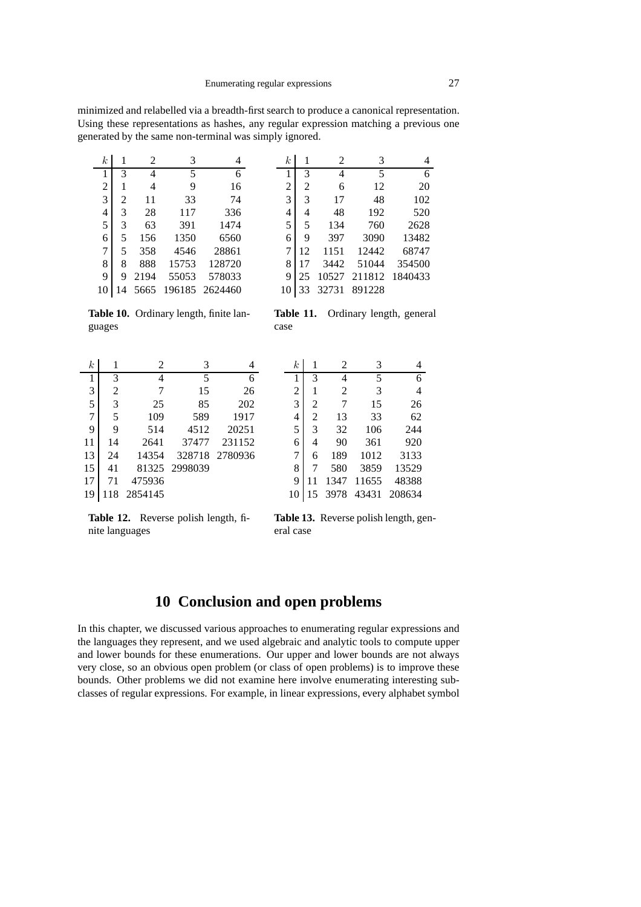minimized and relabelled via a breadth-first search to produce a canonical representation. Using these representations as hashes, any regular expression matching a previous one generated by the same non-terminal was simply ignored.

<span id="page-26-1"></span>

| $\boldsymbol{k}$ |                | 2    | 3     |                | $\boldsymbol{k}$ |    | 2     | 3      |         |
|------------------|----------------|------|-------|----------------|------------------|----|-------|--------|---------|
|                  | 3              | 4    | 5     | 6              |                  | 3  | 4     | 5      | 6       |
| $\overline{2}$   |                | 4    | 9     | 16             | 2                | 2  | 6     | 12     | 20      |
| 3                | $\overline{c}$ | 11   | 33    | 74             | 3                | 3  | 17    | 48     | 102     |
| 4                | 3              | 28   | 117   | 336            | 4                | 4  | 48    | 192    | 520     |
| 5                | 3              | 63   | 391   | 1474           | 5                | 5  | 134   | 760    | 2628    |
| 6                | 5              | 156  | 1350  | 6560           | 6                | 9  | 397   | 3090   | 13482   |
| 7                | 5              | 358  | 4546  | 28861          | 7                | 12 | 1151  | 12442  | 68747   |
| 8                | 8              | 888  | 15753 | 128720         | 8                | 17 | 3442  | 51044  | 354500  |
| 9                | 9              | 2194 | 55053 | 578033         | 9                | 25 | 10527 | 211812 | 1840433 |
| 10               |                | 5665 |       | 196185 2624460 | 10               | 33 | 32731 | 891228 |         |

**Table 10.** Ordinary length, finite languages

**Table 11.** Ordinary length, general case

| $\boldsymbol{k}$ |    | 2       | 3       |                |
|------------------|----|---------|---------|----------------|
| 1                | 3  | 4       | 5       | 6              |
| 3                | 2  | 7       | 15      | 26             |
| 5                | 3  | 25      | 85      | 202            |
| 7                | 5  | 109     | 589     | 1917           |
| 9                | 9  | 514     | 4512    | 20251          |
| 11               | 14 | 2641    | 37477   | 231152         |
| 13               | 24 | 14354   |         | 328718 2780936 |
| 15               | 41 | 81325   | 2998039 |                |
| 17               | 71 | 475936  |         |                |
| 19               |    | 2854145 |         |                |

| $\boldsymbol{k}$ |    | 2    | 3     |        |
|------------------|----|------|-------|--------|
| 1                | 3  | 4    | 5     | 6      |
| $\overline{2}$   | 1  | 2    | 3     | 4      |
| $\overline{3}$   | 2  | 7    | 15    | 26     |
| $\overline{4}$   | 2  | 13   | 33    | 62     |
| $\overline{5}$   | 3  | 32   | 106   | 244    |
| 6                | 4  | 90   | 361   | 920    |
| 7                | 6  | 189  | 1012  | 3133   |
| 8                | 7  | 580  | 3859  | 13529  |
| 9                |    | 1347 | 11655 | 48388  |
| 10               | 15 | 3978 | 43431 | 208634 |

**Table 12.** Reverse polish length, finite languages

**Table 13.** Reverse polish length, general case

## **10 Conclusion and open problems**

<span id="page-26-0"></span>In this chapter, we discussed various approaches to enumerating regular expressions and the languages they represent, and we used algebraic and analytic tools to compute upper and lower bounds for these enumerations. Our upper and lower bounds are not always very close, so an obvious open problem (or class of open problems) is to improve these bounds. Other problems we did not examine here involve enumerating interesting subclasses of regular expressions. For example, in linear expressions, every alphabet symbol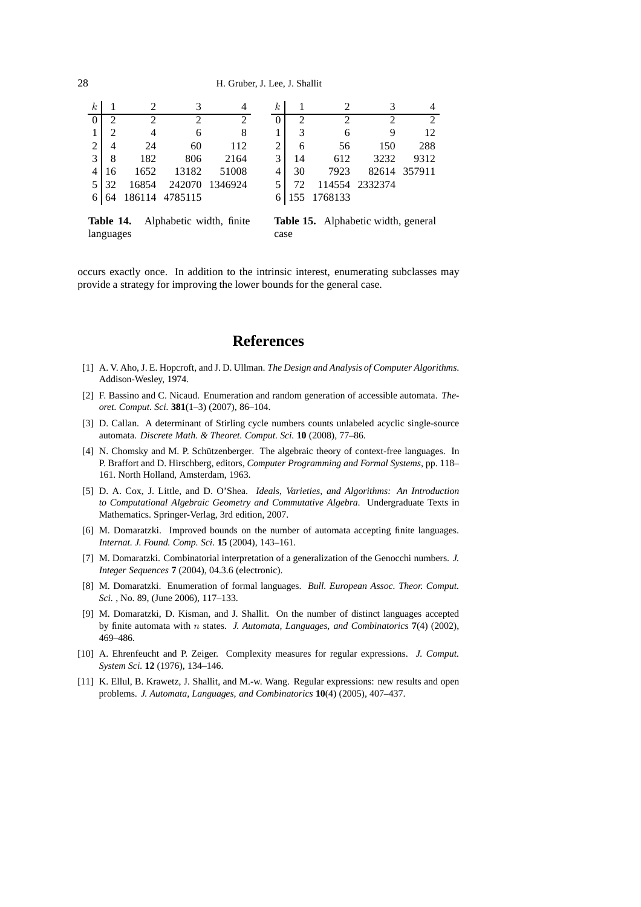<span id="page-27-11"></span>

| $\boldsymbol{k}$ |    |       |                |                | k. |    |             |                |                |
|------------------|----|-------|----------------|----------------|----|----|-------------|----------------|----------------|
|                  |    | ◠     | っ              |                |    | 2  |             |                | $\mathfrak{D}$ |
|                  |    |       | 6              |                |    |    | 6           |                | 12             |
| 2                |    | 24    | 60             | 112            | 2  | 6  | 56          | 150            | 288            |
| 3                | 8  | 182   | 806            | 2164           |    | 14 | 612         | 3232           | 9312           |
|                  | 16 | 1652  | 13182          | 51008          |    | 30 | 7923        |                | 82614 357911   |
| 5.               | 32 | 16854 |                | 242070 1346924 |    | 72 |             | 114554 2332374 |                |
|                  |    |       | 186114 4785115 |                |    |    | 155 1768133 |                |                |
|                  |    |       |                |                |    |    |             |                |                |

**Table 14.** Alphabetic width, finite languages **Table 15.** Alphabetic width, general case

occurs exactly once. In addition to the intrinsic interest, enumerating subclasses may provide a strategy for improving the lower bounds for the general case.

## **References**

- <span id="page-27-7"></span>[1] A. V. Aho, J. E. Hopcroft, and J. D. Ullman. *The Design and Analysis of Computer Algorithms*. Addison-Wesley, 1974.
- <span id="page-27-0"></span>[2] F. Bassino and C. Nicaud. Enumeration and random generation of accessible automata. *Theoret. Comput. Sci.* **381**(1–3) (2007), 86–104.
- <span id="page-27-4"></span>[3] D. Callan. A determinant of Stirling cycle numbers counts unlabeled acyclic single-source automata. *Discrete Math. & Theoret. Comput. Sci.* **10** (2008), 77–86.
- <span id="page-27-9"></span>[4] N. Chomsky and M. P. Schützenberger. The algebraic theory of context-free languages. In P. Braffort and D. Hirschberg, editors, *Computer Programming and Formal Systems*, pp. 118– 161. North Holland, Amsterdam, 1963.
- <span id="page-27-10"></span>[5] D. A. Cox, J. Little, and D. O'Shea. *Ideals, Varieties, and Algorithms: An Introduction to Computational Algebraic Geometry and Commutative Algebra*. Undergraduate Texts in Mathematics. Springer-Verlag, 3rd edition, 2007.
- <span id="page-27-2"></span>[6] M. Domaratzki. Improved bounds on the number of automata accepting finite languages. *Internat. J. Found. Comp. Sci.* **15** (2004), 143–161.
- <span id="page-27-3"></span>[7] M. Domaratzki. Combinatorial interpretation of a generalization of the Genocchi numbers. *J. Integer Sequences* **7** (2004), 04.3.6 (electronic).
- <span id="page-27-5"></span>[8] M. Domaratzki. Enumeration of formal languages. *Bull. European Assoc. Theor. Comput. Sci.* , No. 89, (June 2006), 117–133.
- <span id="page-27-1"></span>[9] M. Domaratzki, D. Kisman, and J. Shallit. On the number of distinct languages accepted by finite automata with n states. *J. Automata, Languages, and Combinatorics* **7**(4) (2002), 469–486.
- <span id="page-27-8"></span>[10] A. Ehrenfeucht and P. Zeiger. Complexity measures for regular expressions. *J. Comput. System Sci.* **12** (1976), 134–146.
- <span id="page-27-6"></span>[11] K. Ellul, B. Krawetz, J. Shallit, and M.-w. Wang. Regular expressions: new results and open problems. *J. Automata, Languages, and Combinatorics* **10**(4) (2005), 407–437.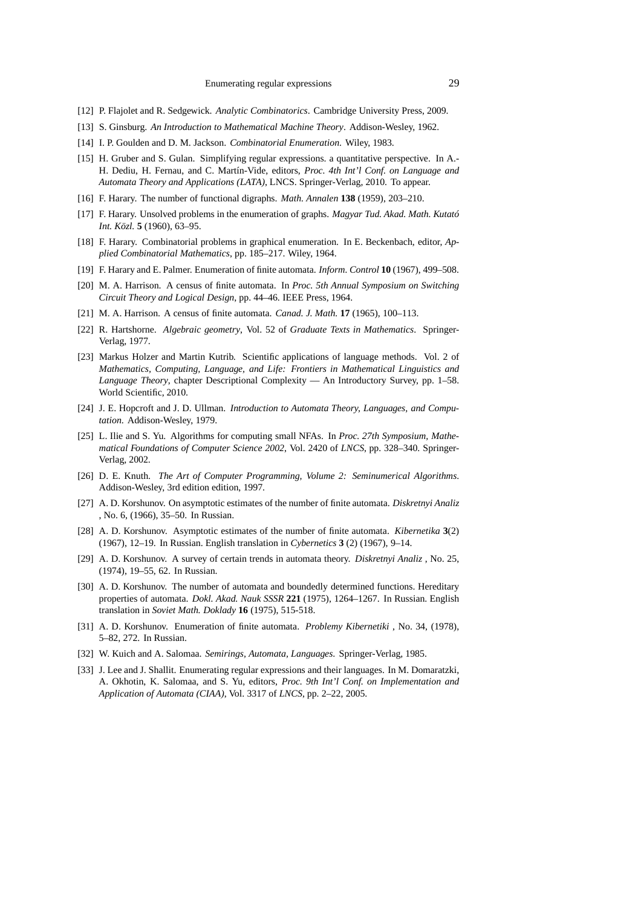- <span id="page-28-18"></span><span id="page-28-3"></span>[12] P. Flajolet and R. Sedgewick. *Analytic Combinatorics*. Cambridge University Press, 2009.
- <span id="page-28-20"></span>[13] S. Ginsburg. *An Introduction to Mathematical Machine Theory*. Addison-Wesley, 1962.
- <span id="page-28-21"></span>[14] I. P. Goulden and D. M. Jackson. *Combinatorial Enumeration*. Wiley, 1983.
- [15] H. Gruber and S. Gulan. Simplifying regular expressions. a quantitative perspective. In A.- H. Dediu, H. Fernau, and C. Martín-Vide, editors, *Proc. 4th Int'l Conf. on Language and Automata Theory and Applications (LATA)*, LNCS. Springer-Verlag, 2010. To appear.
- <span id="page-28-1"></span><span id="page-28-0"></span>[16] F. Harary. The number of functional digraphs. *Math. Annalen* **138** (1959), 203–210.
- [17] F. Harary. Unsolved problems in the enumeration of graphs. *Magyar Tud. Akad. Math. Kutató Int. Közl.* **5** (1960), 63–95.
- <span id="page-28-2"></span>[18] F. Harary. Combinatorial problems in graphical enumeration. In E. Beckenbach, editor, *Applied Combinatorial Mathematics*, pp. 185–217. Wiley, 1964.
- <span id="page-28-7"></span><span id="page-28-4"></span>[19] F. Harary and E. Palmer. Enumeration of finite automata. *Inform. Control* **10** (1967), 499–508.
- [20] M. A. Harrison. A census of finite automata. In *Proc. 5th Annual Symposium on Switching Circuit Theory and Logical Design*, pp. 44–46. IEEE Press, 1964.
- <span id="page-28-17"></span><span id="page-28-5"></span>[21] M. A. Harrison. A census of finite automata. *Canad. J. Math.* **17** (1965), 100–113.
- <span id="page-28-14"></span>[22] R. Hartshorne. *Algebraic geometry*, Vol. 52 of *Graduate Texts in Mathematics*. Springer-Verlag, 1977.
- [23] Markus Holzer and Martin Kutrib. Scientific applications of language methods. Vol. 2 of *Mathematics, Computing, Language, and Life: Frontiers in Mathematical Linguistics and Language Theory*, chapter Descriptional Complexity — An Introductory Survey, pp. 1–58. World Scientific, 2010.
- <span id="page-28-15"></span>[24] J. E. Hopcroft and J. D. Ullman. *Introduction to Automata Theory, Languages, and Computation*. Addison-Wesley, 1979.
- <span id="page-28-13"></span>[25] L. Ilie and S. Yu. Algorithms for computing small NFAs. In *Proc. 27th Symposium, Mathematical Foundations of Computer Science 2002*, Vol. 2420 of *LNCS*, pp. 328–340. Springer-Verlag, 2002.
- <span id="page-28-19"></span>[26] D. E. Knuth. *The Art of Computer Programming, Volume 2: Seminumerical Algorithms*. Addison-Wesley, 3rd edition edition, 1997.
- <span id="page-28-6"></span>[27] A. D. Korshunov. On asymptotic estimates of the number of finite automata. *Diskretnyi Analiz* , No. 6, (1966), 35–50. In Russian.
- <span id="page-28-8"></span>[28] A. D. Korshunov. Asymptotic estimates of the number of finite automata. *Kibernetika* **3**(2) (1967), 12–19. In Russian. English translation in *Cybernetics* **3** (2) (1967), 9–14.
- <span id="page-28-9"></span>[29] A. D. Korshunov. A survey of certain trends in automata theory. *Diskretnyi Analiz* , No. 25, (1974), 19–55, 62. In Russian.
- <span id="page-28-10"></span>[30] A. D. Korshunov. The number of automata and boundedly determined functions. Hereditary properties of automata. *Dokl. Akad. Nauk SSSR* **221** (1975), 1264–1267. In Russian. English translation in *Soviet Math. Doklady* **16** (1975), 515-518.
- <span id="page-28-11"></span>[31] A. D. Korshunov. Enumeration of finite automata. *Problemy Kibernetiki* , No. 34, (1978), 5–82, 272. In Russian.
- <span id="page-28-16"></span><span id="page-28-12"></span>[32] W. Kuich and A. Salomaa. *Semirings, Automata, Languages*. Springer-Verlag, 1985.
- [33] J. Lee and J. Shallit. Enumerating regular expressions and their languages. In M. Domaratzki, A. Okhotin, K. Salomaa, and S. Yu, editors, *Proc. 9th Int'l Conf. on Implementation and Application of Automata (CIAA)*, Vol. 3317 of *LNCS*, pp. 2–22, 2005.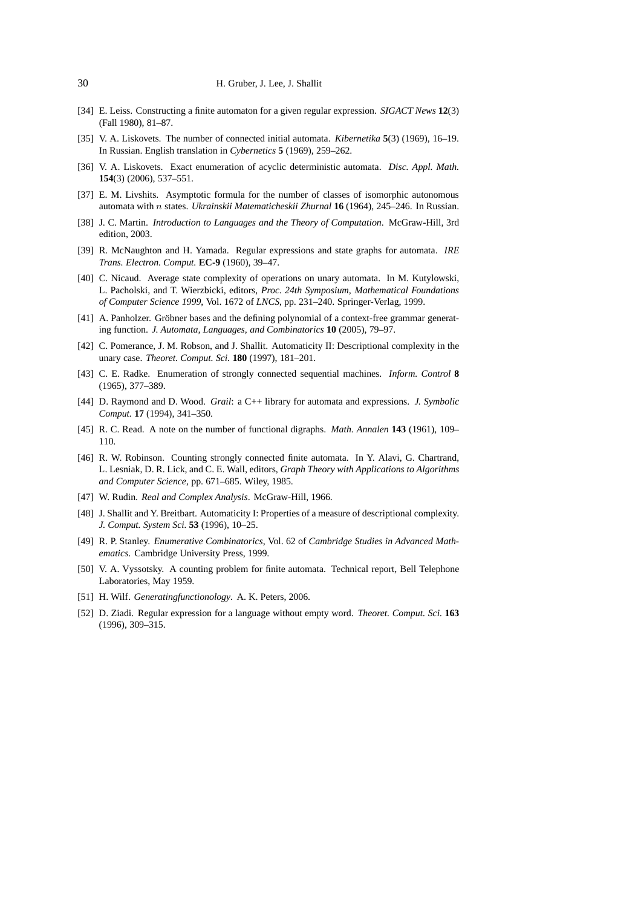- <span id="page-29-12"></span>[34] E. Leiss. Constructing a finite automaton for a given regular expression. *SIGACT News* **12**(3) (Fall 1980), 81–87.
- <span id="page-29-4"></span>[35] V. A. Liskovets. The number of connected initial automata. *Kibernetika* **5**(3) (1969), 16–19. In Russian. English translation in *Cybernetics* **5** (1969), 259–262.
- <span id="page-29-9"></span><span id="page-29-2"></span>[36] V. A. Liskovets. Exact enumeration of acyclic deterministic automata. *Disc. Appl. Math.* **154**(3) (2006), 537–551.
- <span id="page-29-14"></span>[37] E. M. Livshits. Asymptotic formula for the number of classes of isomorphic autonomous automata with n states. *Ukrainskii Matematicheskii Zhurnal* **16** (1964), 245–246. In Russian.
- <span id="page-29-11"></span>[38] J. C. Martin. *Introduction to Languages and the Theory of Computation*. McGraw-Hill, 3rd edition, 2003.
- [39] R. McNaughton and H. Yamada. Regular expressions and state graphs for automata. *IRE Trans. Electron. Comput.* **EC-9** (1960), 39–47.
- <span id="page-29-8"></span>[40] C. Nicaud. Average state complexity of operations on unary automata. In M. Kutylowski, L. Pacholski, and T. Wierzbicki, editors, *Proc. 24th Symposium, Mathematical Foundations of Computer Science 1999*, Vol. 1672 of *LNCS*, pp. 231–240. Springer-Verlag, 1999.
- <span id="page-29-17"></span>[41] A. Panholzer. Gröbner bases and the defining polynomial of a context-free grammar generating function. *J. Automata, Languages, and Combinatorics* **10** (2005), 79–97.
- <span id="page-29-7"></span>[42] C. Pomerance, J. M. Robson, and J. Shallit. Automaticity II: Descriptional complexity in the unary case. *Theoret. Comput. Sci.* **180** (1997), 181–201.
- <span id="page-29-3"></span>[43] C. E. Radke. Enumeration of strongly connected sequential machines. *Inform. Control* **8** (1965), 377–389.
- <span id="page-29-13"></span>[44] D. Raymond and D. Wood. *Grail*: a C++ library for automata and expressions. *J. Symbolic Comput.* **17** (1994), 341–350.
- <span id="page-29-5"></span><span id="page-29-1"></span>[45] R. C. Read. A note on the number of functional digraphs. *Math. Annalen* **143** (1961), 109– 110.
- [46] R. W. Robinson. Counting strongly connected finite automata. In Y. Alavi, G. Chartrand, L. Lesniak, D. R. Lick, and C. E. Wall, editors, *Graph Theory with Applications to Algorithms and Computer Science*, pp. 671–685. Wiley, 1985.
- <span id="page-29-18"></span><span id="page-29-6"></span>[47] W. Rudin. *Real and Complex Analysis*. McGraw-Hill, 1966.
- [48] J. Shallit and Y. Breitbart. Automaticity I: Properties of a measure of descriptional complexity. *J. Comput. System Sci.* **53** (1996), 10–25.
- <span id="page-29-16"></span>[49] R. P. Stanley. *Enumerative Combinatorics*, Vol. 62 of *Cambridge Studies in Advanced Mathematics*. Cambridge University Press, 1999.
- <span id="page-29-0"></span>[50] V. A. Vyssotsky. A counting problem for finite automata. Technical report, Bell Telephone Laboratories, May 1959.
- <span id="page-29-15"></span><span id="page-29-10"></span>[51] H. Wilf. *Generatingfunctionology*. A. K. Peters, 2006.
- [52] D. Ziadi. Regular expression for a language without empty word. *Theoret. Comput. Sci.* **163** (1996), 309–315.